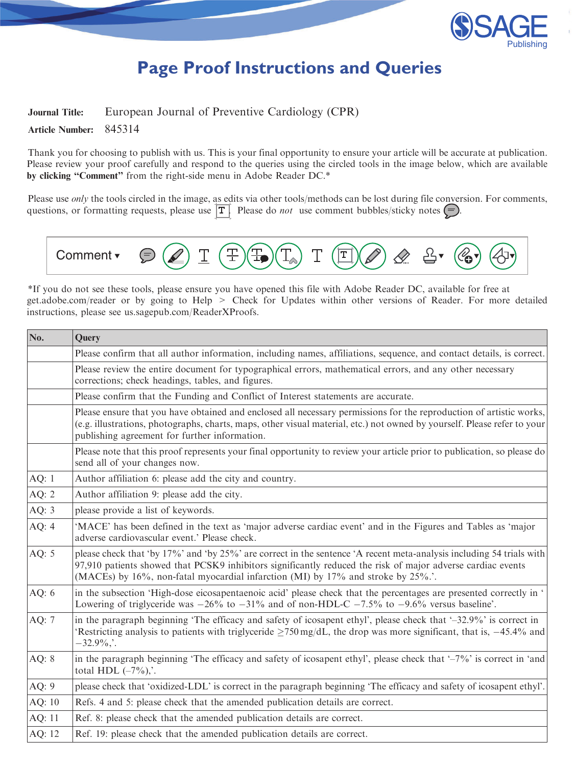

# **Page Proof Instructions and Queries**

# <span id="page-0-0"></span>Journal Title: European Journal of Preventive Cardiology (CPR)

Article Number: 845314

Thank you for choosing to publish with us. This is your final opportunity to ensure your article will be accurate at publication. Please review your proof carefully and respond to the queries using the circled tools in the image below, which are available by clicking "Comment" from the right-side menu in Adobe Reader DC.\*

Please use *only* the tools circled in the image, as edits via other tools/methods can be lost during file conversion. For comments, questions, or formatting requests, please use  $\boxed{T}$ . Please do *not* use comment bubbles/sticky notes  $\boxed{\bigcirc}$ .



\*If you do not see these tools, please ensure you have opened this file with Adobe Reader DC, available for free at [get.adobe.com/reader](https://get.adobe.com/reader) or by going to Help > Check for Updates within other versions of Reader. For more detailed instructions, please see [us.sagepub.com/ReaderXProofs.](https://us.sagepub.com/ReaderXProofs)

| No.     | Query<br>Please confirm that all author information, including names, affiliations, sequence, and contact details, is correct.                                                                                                                                                                                        |  |  |  |
|---------|-----------------------------------------------------------------------------------------------------------------------------------------------------------------------------------------------------------------------------------------------------------------------------------------------------------------------|--|--|--|
|         |                                                                                                                                                                                                                                                                                                                       |  |  |  |
|         | Please review the entire document for typographical errors, mathematical errors, and any other necessary<br>corrections; check headings, tables, and figures.                                                                                                                                                         |  |  |  |
|         | Please confirm that the Funding and Conflict of Interest statements are accurate.                                                                                                                                                                                                                                     |  |  |  |
|         | Please ensure that you have obtained and enclosed all necessary permissions for the reproduction of artistic works,<br>(e.g. illustrations, photographs, charts, maps, other visual material, etc.) not owned by yourself. Please refer to your<br>publishing agreement for further information.                      |  |  |  |
|         | Please note that this proof represents your final opportunity to review your article prior to publication, so please do<br>send all of your changes now.                                                                                                                                                              |  |  |  |
| AQ: $1$ | Author affiliation 6: please add the city and country.                                                                                                                                                                                                                                                                |  |  |  |
| AQ: $2$ | Author affiliation 9: please add the city.                                                                                                                                                                                                                                                                            |  |  |  |
| AQ: $3$ | please provide a list of keywords.                                                                                                                                                                                                                                                                                    |  |  |  |
| AQ: $4$ | "MACE" has been defined in the text as 'major adverse cardiac event' and in the Figures and Tables as 'major<br>adverse cardiovascular event.' Please check.                                                                                                                                                          |  |  |  |
| AQ: $5$ | please check that 'by 17%' and 'by 25%' are correct in the sentence 'A recent meta-analysis including 54 trials with<br>97,910 patients showed that PCSK9 inhibitors significantly reduced the risk of major adverse cardiac events<br>(MACEs) by 16%, non-fatal myocardial infarction (MI) by 17% and stroke by 25%. |  |  |  |
| AQ: $6$ | in the subsection 'High-dose eicosapentaenoic acid' please check that the percentages are presented correctly in '<br>Lowering of triglyceride was $-26\%$ to $-31\%$ and of non-HDL-C $-7.5\%$ to $-9.6\%$ versus baseline.                                                                                          |  |  |  |
| AQ: 7   | in the paragraph beginning 'The efficacy and safety of icosapent ethyl', please check that '-32.9%' is correct in<br>Restricting analysis to patients with triglyceride $\geq$ 750 mg/dL, the drop was more significant, that is, -45.4% and<br>$-32.9\%$                                                             |  |  |  |
| AQ: 8   | in the paragraph beginning 'The efficacy and safety of icosapent ethyl', please check that '-7%' is correct in 'and<br>total HDL $(-7\%)$ .                                                                                                                                                                           |  |  |  |
| AQ: 9   | please check that 'oxidized-LDL' is correct in the paragraph beginning 'The efficacy and safety of icosapent ethyl'.                                                                                                                                                                                                  |  |  |  |
| AQ: 10  | Refs. 4 and 5: please check that the amended publication details are correct.                                                                                                                                                                                                                                         |  |  |  |
| AQ: 11  | Ref. 8: please check that the amended publication details are correct.                                                                                                                                                                                                                                                |  |  |  |
| AQ: 12  | Ref. 19: please check that the amended publication details are correct.                                                                                                                                                                                                                                               |  |  |  |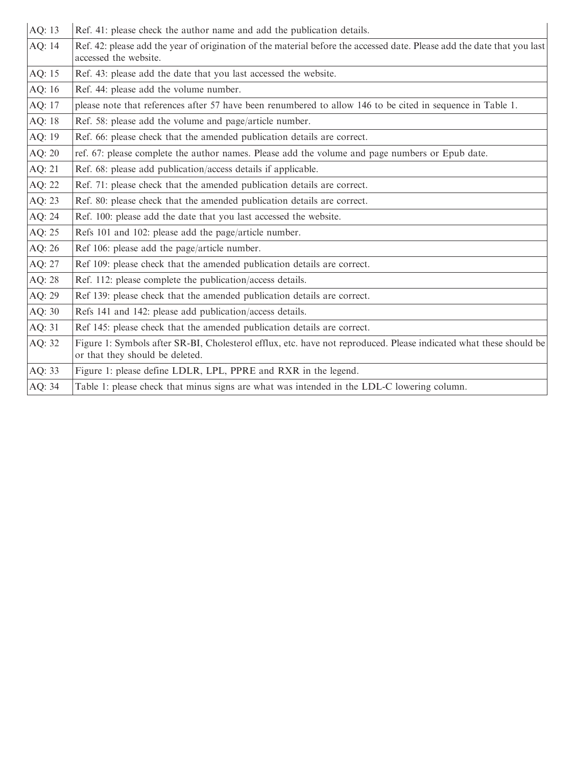<span id="page-1-0"></span>

| AQ: 13 | Ref. 41: please check the author name and add the publication details.                                                                                |  |  |
|--------|-------------------------------------------------------------------------------------------------------------------------------------------------------|--|--|
| AQ: 14 | Ref. 42: please add the year of origination of the material before the accessed date. Please add the date that you last<br>accessed the website.      |  |  |
| AQ: 15 | Ref. 43: please add the date that you last accessed the website.                                                                                      |  |  |
| AQ: 16 | Ref. 44: please add the volume number.                                                                                                                |  |  |
| AQ: 17 | please note that references after 57 have been renumbered to allow 146 to be cited in sequence in Table 1.                                            |  |  |
| AQ: 18 | Ref. 58: please add the volume and page/article number.                                                                                               |  |  |
| AQ: 19 | Ref. 66: please check that the amended publication details are correct.                                                                               |  |  |
| AQ: 20 | ref. 67: please complete the author names. Please add the volume and page numbers or Epub date.                                                       |  |  |
| AQ: 21 | Ref. 68: please add publication/access details if applicable.                                                                                         |  |  |
| AQ: 22 | Ref. 71: please check that the amended publication details are correct.                                                                               |  |  |
| AQ: 23 | Ref. 80: please check that the amended publication details are correct.                                                                               |  |  |
| AQ: 24 | Ref. 100: please add the date that you last accessed the website.                                                                                     |  |  |
| AQ: 25 | Refs 101 and 102: please add the page/article number.                                                                                                 |  |  |
| AQ: 26 | Ref 106: please add the page/article number.                                                                                                          |  |  |
| AQ: 27 | Ref 109: please check that the amended publication details are correct.                                                                               |  |  |
| AQ: 28 | Ref. 112: please complete the publication/access details.                                                                                             |  |  |
| AQ: 29 | Ref 139: please check that the amended publication details are correct.                                                                               |  |  |
| AQ: 30 | Refs 141 and 142: please add publication/access details.                                                                                              |  |  |
| AQ: 31 | Ref 145: please check that the amended publication details are correct.                                                                               |  |  |
| AQ: 32 | Figure 1: Symbols after SR-BI, Cholesterol efflux, etc. have not reproduced. Please indicated what these should be<br>or that they should be deleted. |  |  |
| AQ: 33 | Figure 1: please define LDLR, LPL, PPRE and RXR in the legend.                                                                                        |  |  |
| AQ: 34 | Table 1: please check that minus signs are what was intended in the LDL-C lowering column.                                                            |  |  |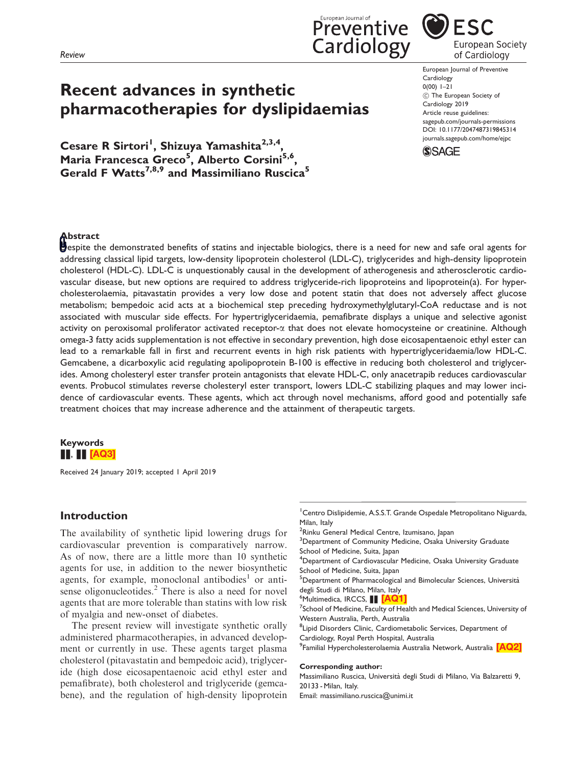<span id="page-2-0"></span>Review



Cesare R Sirtori<sup>1</sup>, Shizuya Yamashita<sup>2,3,4</sup>, Maria Francesca Greco<sup>5</sup>, Alberto Corsini<sup>5,6</sup>, Gerald F Watts<sup>7,8,9</sup> and Massimiliano Ruscica<sup>5</sup>



**ESC** European Society of Cardiology

European Journal of Preventive Cardiology  $0(00)$  1–21 (C) The European Society of Cardiology 2019 Article reuse guidelines: [sagepub.com/journals-permissions](https://uk.sagepub.com/en-gb/journals-permissions) DOI: [10.1177/2047487319845314](https://doi.org/10.1177/2047487319845314) <journals.sagepub.com/home/ejpc>



## **Abstract**

**D**espite the demonstrated benefits of statins and injectable biologics, there is a need for new and safe oral agents for addressing classical lipid targets, low-density lipoprotein cholesterol (LDL-C), triglycerides and high-density lipoprotein cholesterol (HDL-C). LDL-C is unquestionably causal in the development of atherogenesis and atherosclerotic cardiovascular disease, but new options are required to address triglyceride-rich lipoproteins and lipoprotein(a). For hypercholesterolaemia, pitavastatin provides a very low dose and potent statin that does not adversely affect glucose metabolism; bempedoic acid acts at a biochemical step preceding hydroxymethylglutaryl-CoA reductase and is not associated with muscular side effects. For hypertriglyceridaemia, pemafibrate displays a unique and selective agonist activity on peroxisomal proliferator activated receptor- $\alpha$  that does not elevate homocysteine or creatinine. Although omega-3 fatty acids supplementation is not effective in secondary prevention, high dose eicosapentaenoic ethyl ester can lead to a remarkable fall in first and recurrent events in high risk patients with hypertriglyceridaemia/low HDL-C. Gemcabene, a dicarboxylic acid regulating apolipoprotein B-100 is effective in reducing both cholesterol and triglycerides. Among cholesteryl ester transfer protein antagonists that elevate HDL-C, only anacetrapib reduces cardiovascular events. Probucol stimulates reverse cholesteryl ester transport, lowers LDL-C stabilizing plaques and may lower incidence of cardiovascular events. These agents, which act through novel mechanisms, afford good and potentially safe treatment choices that may increase adherence and the attainment of therapeutic targets.

## Keywords  $\blacksquare$ ,  $\blacksquare$  [\[AQ3\]](#page-0-0)

Received 24 January 2019; accepted 1 April 2019

## Introduction

The availability of synthetic lipid lowering drugs for cardiovascular prevention is comparatively narrow. As of now, there are a little more than 10 synthetic agents for use, in addition to the newer biosynthetic agents, for example, monoclonal antibodies<sup>1</sup> or antisense oligonucleotides. $<sup>2</sup>$  There is also a need for novel</sup> agents that are more tolerable than statins with low risk of myalgia and new-onset of diabetes.

The present review will investigate synthetic orally administered pharmacotherapies, in advanced development or currently in use. These agents target plasma cholesterol (pitavastatin and bempedoic acid), triglyceride (high dose eicosapentaenoic acid ethyl ester and pemafibrate), both cholesterol and triglyceride (gemcabene), and the regulation of high-density lipoprotein

- <sup>1</sup> Centro Dislipidemie, A.S.S.T. Grande Ospedale Metropolitano Niguarda, Milan, Italy
- <sup>2</sup>Rinku General Medical Centre, Izumisano, Japan
- <sup>3</sup>Department of Community Medicine, Osaka University Graduate School of Medicine, Suita, Japan
- 4 Department of Cardiovascular Medicine, Osaka University Graduate School of Medicine, Suita, Japan
- <sup>5</sup>Department of Pharmacological and Bimolecular Sciences, Università degli Studi di Milano, Milan, Italy

<sup>6</sup>Multimedica, IRCCS, **No. <mark>[\[AQ1\]](#page-0-0)</mark>**<br><sup>7</sup>School of Medicine, Faculty of He

 $7$ School of Medicine, Faculty of Health and Medical Sciences, University of Western Australia, Perth, Australia

<sup>8</sup> Lipid Disorders Clinic, Cardiometabolic Services, Department of Cardiology, Royal Perth Hospital, Australia

<sup>9</sup>Familial Hypercholesterolaemia Australia Network, Australia <mark>[\[AQ2\]](#page-0-0)</mark>

#### Corresponding author:

Massimiliano Ruscica, Universita` degli Studi di Milano, Via Balzaretti 9, 20133 - Milan, Italy.

Email: massimiliano.ruscica@unimi.it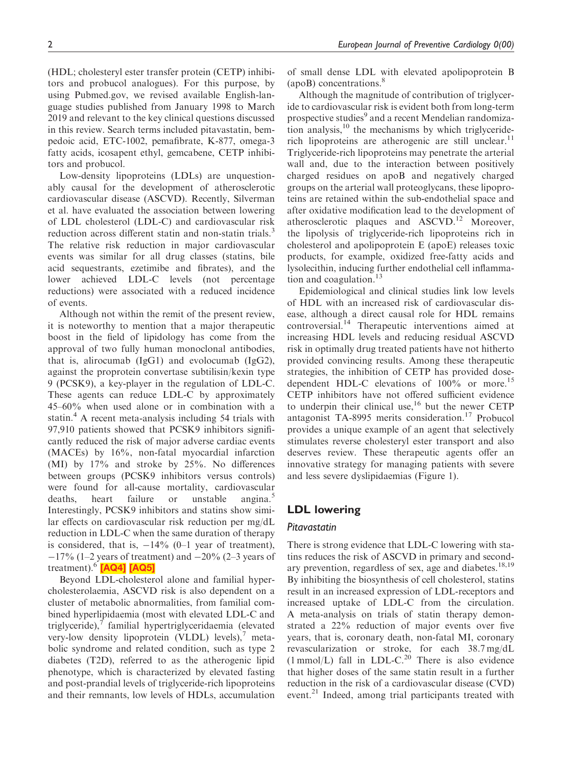<span id="page-3-0"></span>(HDL; cholesteryl ester transfer protein (CETP) inhibitors and probucol analogues). For this purpose, by using Pubmed.gov, we revised available English-language studies published from January 1998 to March 2019 and relevant to the key clinical questions discussed in this review. Search terms included pitavastatin, bempedoic acid, ETC-1002, pemafibrate, K-877, omega-3 fatty acids, icosapent ethyl, gemcabene, CETP inhibitors and probucol.

Low-density lipoproteins (LDLs) are unquestionably causal for the development of atherosclerotic cardiovascular disease (ASCVD). Recently, Silverman et al. have evaluated the association between lowering of LDL cholesterol (LDL-C) and cardiovascular risk reduction across different statin and non-statin trials.<sup>3</sup> The relative risk reduction in major cardiovascular events was similar for all drug classes (statins, bile acid sequestrants, ezetimibe and fibrates), and the lower achieved LDL-C levels (not percentage reductions) were associated with a reduced incidence of events.

Although not within the remit of the present review, it is noteworthy to mention that a major therapeutic boost in the field of lipidology has come from the approval of two fully human monoclonal antibodies, that is, alirocumab (IgG1) and evolocumab (IgG2), against the proprotein convertase subtilisin/kexin type 9 (PCSK9), a key-player in the regulation of LDL-C. These agents can reduce LDL-C by approximately 45–60% when used alone or in combination with a statin.<sup>4</sup> A recent meta-analysis including 54 trials with 97,910 patients showed that PCSK9 inhibitors significantly reduced the risk of major adverse cardiac events (MACEs) by 16%, non-fatal myocardial infarction (MI) by 17% and stroke by 25%. No differences between groups (PCSK9 inhibitors versus controls) were found for all-cause mortality, cardiovascular deaths, heart failure or unstable angina.<sup>5</sup> Interestingly, PCSK9 inhibitors and statins show similar effects on cardiovascular risk reduction per mg/dL reduction in LDL-C when the same duration of therapy is considered, that is,  $-14\%$  (0–1 year of treatment),  $-17\%$  (1–2 years of treatment) and  $-20\%$  (2–3 years of treatment). $^{6}$  [\[AQ4\]](#page-0-0) [\[AQ5\]](#page-0-0)

Beyond LDL-cholesterol alone and familial hypercholesterolaemia, ASCVD risk is also dependent on a cluster of metabolic abnormalities, from familial combined hyperlipidaemia (most with elevated LDL-C and triglyceride), $\frac{7}{7}$  familial hypertriglyceridaemia (elevated very-low density lipoprotein (VLDL) levels), $\frac{7}{7}$  metabolic syndrome and related condition, such as type 2 diabetes (T2D), referred to as the atherogenic lipid phenotype, which is characterized by elevated fasting and post-prandial levels of triglyceride-rich lipoproteins and their remnants, low levels of HDLs, accumulation of small dense LDL with elevated apolipoprotein B  $(apoB)$  concentrations.<sup>8</sup>

Although the magnitude of contribution of triglyceride to cardiovascular risk is evident both from long-term prospective studies<sup>9</sup> and a recent Mendelian randomization analysis, $10$  the mechanisms by which triglyceriderich lipoproteins are atherogenic are still unclear.<sup>11</sup> Triglyceride-rich lipoproteins may penetrate the arterial wall and, due to the interaction between positively charged residues on apoB and negatively charged groups on the arterial wall proteoglycans, these lipoproteins are retained within the sub-endothelial space and after oxidative modification lead to the development of atherosclerotic plaques and ASCVD.<sup>12</sup> Moreover, the lipolysis of triglyceride-rich lipoproteins rich in cholesterol and apolipoprotein E (apoE) releases toxic products, for example, oxidized free-fatty acids and lysolecithin, inducing further endothelial cell inflammation and coagulation.<sup>13</sup>

Epidemiological and clinical studies link low levels of HDL with an increased risk of cardiovascular disease, although a direct causal role for HDL remains controversial.<sup>14</sup> Therapeutic interventions aimed at increasing HDL levels and reducing residual ASCVD risk in optimally drug treated patients have not hitherto provided convincing results. Among these therapeutic strategies, the inhibition of CETP has provided dosedependent HDL-C elevations of  $100\%$  or more.<sup>15</sup> CETP inhibitors have not offered sufficient evidence to underpin their clinical use, $16$  but the newer CETP antagonist TA-8995 merits consideration.<sup>17</sup> Probucol provides a unique example of an agent that selectively stimulates reverse cholesteryl ester transport and also deserves review. These therapeutic agents offer an innovative strategy for managing patients with severe and less severe dyslipidaemias (Figure 1).

## LDL lowering

#### Pitavastatin

There is strong evidence that LDL-C lowering with statins reduces the risk of ASCVD in primary and secondary prevention, regardless of sex, age and diabetes.<sup>18,19</sup> By inhibiting the biosynthesis of cell cholesterol, statins result in an increased expression of LDL-receptors and increased uptake of LDL-C from the circulation. A meta-analysis on trials of statin therapy demonstrated a 22% reduction of major events over five years, that is, coronary death, non-fatal MI, coronary revascularization or stroke, for each 38.7 mg/dL  $(1 \text{ mmol/L})$  fall in LDL-C.<sup>20</sup> There is also evidence that higher doses of the same statin result in a further reduction in the risk of a cardiovascular disease (CVD) event.<sup>21</sup> Indeed, among trial participants treated with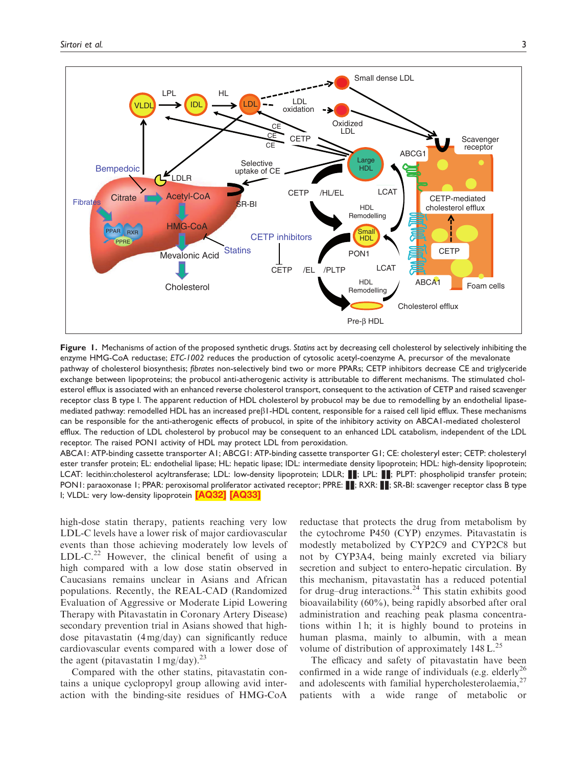<span id="page-4-0"></span>

Figure 1. Mechanisms of action of the proposed synthetic drugs. Statins act by decreasing cell cholesterol by selectively inhibiting the enzyme HMG-CoA reductase; ETC-1002 reduces the production of cytosolic acetyl-coenzyme A, precursor of the mevalonate pathway of cholesterol biosynthesis; fibrates non-selectively bind two or more PPARs; CETP inhibitors decrease CE and triglyceride exchange between lipoproteins; the probucol anti-atherogenic activity is attributable to different mechanisms. The stimulated cholesterol efflux is associated with an enhanced reverse cholesterol transport, consequent to the activation of CETP and raised scavenger receptor class B type I. The apparent reduction of HDL cholesterol by probucol may be due to remodelling by an endothelial lipasemediated pathway: remodelled HDL has an increased preb1-HDL content, responsible for a raised cell lipid efflux. These mechanisms can be responsible for the anti-atherogenic effects of probucol, in spite of the inhibitory activity on ABCA1-mediated cholesterol efflux. The reduction of LDL cholesterol by probucol may be consequent to an enhanced LDL catabolism, independent of the LDL receptor. The raised PON1 activity of HDL may protect LDL from peroxidation.

ABCA1: ATP-binding cassette transporter A1; ABCG1: ATP-binding cassette transporter G1; CE: cholesteryl ester; CETP: cholesteryl ester transfer protein; EL: endothelial lipase; HL: hepatic lipase; IDL: intermediate density lipoprotein; HDL: high-density lipoprotein; LCAT: lecithin:cholesterol acyltransferase; LDL: low-density lipoprotein; LDLR; . PLPL: PLPT: phospholipid transfer protein; PON1: paraoxonase 1; PPAR: peroxisomal proliferator activated receptor; PPRE: : RXR: : ; SR-BI: scavenger receptor class B type I; VLDL: very low-density lipoprotein [\[AQ32\]](#page-1-0) [\[AQ33\]](#page-1-0)

high-dose statin therapy, patients reaching very low LDL-C levels have a lower risk of major cardiovascular events than those achieving moderately low levels of LDL-C.<sup>22</sup> However, the clinical benefit of using a high compared with a low dose statin observed in Caucasians remains unclear in Asians and African populations. Recently, the REAL-CAD (Randomized Evaluation of Aggressive or Moderate Lipid Lowering Therapy with Pitavastatin in Coronary Artery Disease) secondary prevention trial in Asians showed that highdose pitavastatin (4 mg/day) can significantly reduce cardiovascular events compared with a lower dose of the agent (pitavastatin  $1 \text{ mg/day}$ ).<sup>23</sup>

Compared with the other statins, pitavastatin contains a unique cyclopropyl group allowing avid interaction with the binding-site residues of HMG-CoA reductase that protects the drug from metabolism by the cytochrome P450 (CYP) enzymes. Pitavastatin is modestly metabolized by CYP2C9 and CYP2C8 but not by CYP3A4, being mainly excreted via biliary secretion and subject to entero-hepatic circulation. By this mechanism, pitavastatin has a reduced potential for drug-drug interactions.<sup>24</sup> This statin exhibits good bioavailability (60%), being rapidly absorbed after oral administration and reaching peak plasma concentrations within 1 h; it is highly bound to proteins in human plasma, mainly to albumin, with a mean volume of distribution of approximately  $148 L^{25}$ 

The efficacy and safety of pitavastatin have been confirmed in a wide range of individuals (e.g. elderly<sup>26</sup>) and adolescents with familial hypercholesterolaemia, $27$ patients with a wide range of metabolic or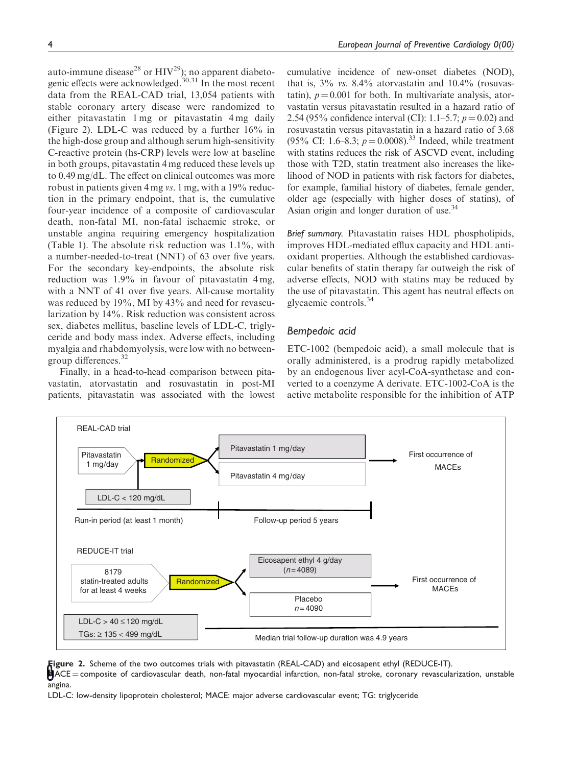auto-immune disease<sup>28</sup> or  $HIV^{29}$ ); no apparent diabetogenic effects were acknowledged.<sup>30,31</sup> In the most recent data from the REAL-CAD trial, 13,054 patients with stable coronary artery disease were randomized to either pitavastatin 1 mg or pitavastatin 4 mg daily (Figure 2). LDL-C was reduced by a further 16% in the high-dose group and although serum high-sensitivity C-reactive protein (hs-CRP) levels were low at baseline in both groups, pitavastatin 4 mg reduced these levels up to 0.49 mg/dL. The effect on clinical outcomes was more robust in patients given 4 mg vs. 1 mg, with a 19% reduction in the primary endpoint, that is, the cumulative four-year incidence of a composite of cardiovascular death, non-fatal MI, non-fatal ischaemic stroke, or unstable angina requiring emergency hospitalization (Table 1). The absolute risk reduction was 1.1%, with a number-needed-to-treat (NNT) of 63 over five years. For the secondary key-endpoints, the absolute risk reduction was 1.9% in favour of pitavastatin 4 mg, with a NNT of 41 over five years. All-cause mortality was reduced by 19%, MI by 43% and need for revascularization by 14%. Risk reduction was consistent across sex, diabetes mellitus, baseline levels of LDL-C, triglyceride and body mass index. Adverse effects, including myalgia and rhabdomyolysis, were low with no betweengroup differences.<sup>32</sup>

Finally, in a head-to-head comparison between pitavastatin, atorvastatin and rosuvastatin in post-MI patients, pitavastatin was associated with the lowest

cumulative incidence of new-onset diabetes (NOD), that is,  $3\%$  vs.  $8.4\%$  atorvastatin and  $10.4\%$  (rosuvastatin),  $p = 0.001$  for both. In multivariate analysis, atorvastatin versus pitavastatin resulted in a hazard ratio of 2.54 (95% confidence interval (CI): 1.1–5.7;  $p = 0.02$ ) and rosuvastatin versus pitavastatin in a hazard ratio of 3.68 (95% CI: 1.6–8.3;  $p = 0.0008$ ).<sup>33</sup> Indeed, while treatment with statins reduces the risk of ASCVD event, including those with T2D, statin treatment also increases the likelihood of NOD in patients with risk factors for diabetes, for example, familial history of diabetes, female gender, older age (especially with higher doses of statins), of Asian origin and longer duration of use.<sup>34</sup>

Brief summary. Pitavastatin raises HDL phospholipids, improves HDL-mediated efflux capacity and HDL antioxidant properties. Although the established cardiovascular benefits of statin therapy far outweigh the risk of adverse effects, NOD with statins may be reduced by the use of pitavastatin. This agent has neutral effects on glycaemic controls.<sup>34</sup>

### Bempedoic acid

ETC-1002 (bempedoic acid), a small molecule that is orally administered, is a prodrug rapidly metabolized by an endogenous liver acyl-CoA-synthetase and converted to a coenzyme A derivate. ETC-1002-CoA is the active metabolite responsible for the inhibition of ATP



**Figure 2.** Scheme of the two outcomes trials with pitavastatin (REAL-CAD) and eicosapent ethyl (REDUCE-IT).

 $\mathbb{M}$ ACE = composite of cardiovascular death, non-fatal myocardial infarction, non-fatal stroke, coronary revascularization, unstable angina.

LDL-C: low-density lipoprotein cholesterol; MACE: major adverse cardiovascular event; TG: triglyceride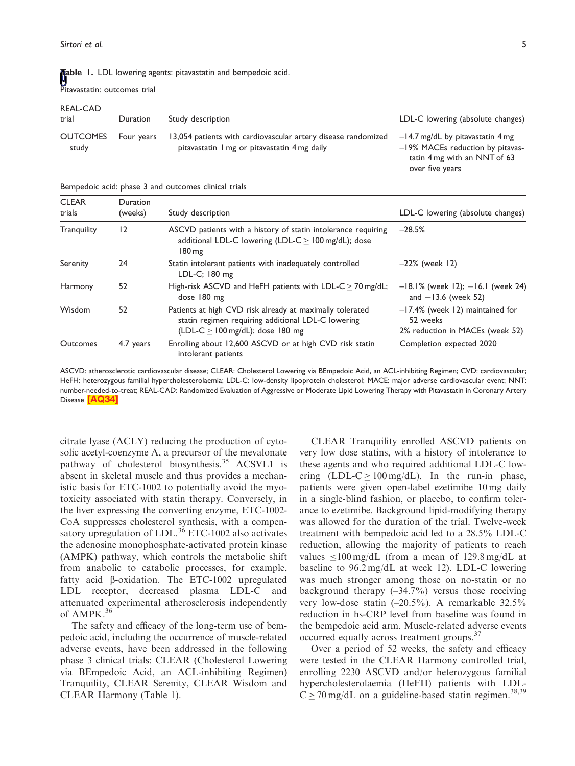| U<br>Pitavastatin: outcomes trial |            |                                                                                                               |                                                                                                                           |
|-----------------------------------|------------|---------------------------------------------------------------------------------------------------------------|---------------------------------------------------------------------------------------------------------------------------|
| REAL-CAD<br>trial                 | Duration   | Study description                                                                                             | LDL-C lowering (absolute changes)                                                                                         |
| <b>OUTCOMES</b><br>study          | Four years | 13,054 patients with cardiovascular artery disease randomized<br>pitavastatin I mg or pitavastatin 4 mg daily | $-14.7$ mg/dL by pitavastatin 4 mg<br>-19% MACEs reduction by pitavas-<br>tatin 4 mg with an NNT of 63<br>over five years |

<span id="page-6-0"></span>**Mable 1.** LDL lowering agents: pitavastatin and bempedoic acid.

Bempedoic acid: phase 3 and outcomes clinical trials

| <b>CLEAR</b><br>trials | <b>Duration</b><br>(weeks) | Study description                                                                                                                                             | LDL-C lowering (absolute changes)                                                 |
|------------------------|----------------------------|---------------------------------------------------------------------------------------------------------------------------------------------------------------|-----------------------------------------------------------------------------------|
| <b>Tranguility</b>     | 12                         | ASCVD patients with a history of statin intolerance requiring<br>additional LDL-C lowering (LDL-C $>$ 100 mg/dL); dose<br>180 mg                              | $-28.5%$                                                                          |
| Serenity               | 24                         | Statin intolerant patients with inadequately controlled<br>LDL-C; 180 mg                                                                                      | $-22\%$ (week 12)                                                                 |
| Harmony                | 52                         | High-risk ASCVD and HeFH patients with LDL-C $>$ 70 mg/dL;<br>dose 180 mg                                                                                     | $-18.1\%$ (week 12); $-16.1$ (week 24)<br>and $-13.6$ (week 52)                   |
| Wisdom                 | 52                         | Patients at high CVD risk already at maximally tolerated<br>statin regimen requiring additional LDL-C lowering<br>$(LDL-C > 100 \text{ mg/dL})$ ; dose 180 mg | $-17.4\%$ (week 12) maintained for<br>52 weeks<br>2% reduction in MACEs (week 52) |
| Outcomes               | 4.7 years                  | Enrolling about 12,600 ASCVD or at high CVD risk statin<br>intolerant patients                                                                                | Completion expected 2020                                                          |

ASCVD: atherosclerotic cardiovascular disease; CLEAR: Cholesterol Lowering via BEmpedoic Acid, an ACL-inhibiting Regimen; CVD: cardiovascular; HeFH: heterozygous familial hypercholesterolaemia; LDL-C: low-density lipoprotein cholesterol; MACE: major adverse cardiovascular event; NNT: number-needed-to-treat; REAL-CAD: Randomized Evaluation of Aggressive or Moderate Lipid Lowering Therapy with Pitavastatin in Coronary Artery Disease [\[AQ34\]](#page-1-0)

citrate lyase (ACLY) reducing the production of cytosolic acetyl-coenzyme A, a precursor of the mevalonate pathway of cholesterol biosynthesis.<sup>35</sup> ACSVL1 is absent in skeletal muscle and thus provides a mechanistic basis for ETC-1002 to potentially avoid the myotoxicity associated with statin therapy. Conversely, in the liver expressing the converting enzyme, ETC-1002- CoA suppresses cholesterol synthesis, with a compensatory upregulation of LDL. $^{36}$  ETC-1002 also activates the adenosine monophosphate-activated protein kinase (AMPK) pathway, which controls the metabolic shift from anabolic to catabolic processes, for example, fatty acid  $\beta$ -oxidation. The ETC-1002 upregulated LDL receptor, decreased plasma LDL-C and attenuated experimental atherosclerosis independently of AMPK.<sup>36</sup>

The safety and efficacy of the long-term use of bempedoic acid, including the occurrence of muscle-related adverse events, have been addressed in the following phase 3 clinical trials: CLEAR (Cholesterol Lowering via BEmpedoic Acid, an ACL-inhibiting Regimen) Tranquility, CLEAR Serenity, CLEAR Wisdom and CLEAR Harmony (Table 1).

CLEAR Tranquility enrolled ASCVD patients on very low dose statins, with a history of intolerance to these agents and who required additional LDL-C lowering  $(LDL-C \ge 100 \text{ mg/d}L)$ . In the run-in phase, patients were given open-label ezetimibe 10 mg daily in a single-blind fashion, or placebo, to confirm tolerance to ezetimibe. Background lipid-modifying therapy was allowed for the duration of the trial. Twelve-week treatment with bempedoic acid led to a 28.5% LDL-C reduction, allowing the majority of patients to reach values  $\langle 100 \text{ mg/dL}$  (from a mean of 129.8 mg/dL at baseline to 96.2 mg/dL at week 12). LDL-C lowering was much stronger among those on no-statin or no background therapy  $(-34.7%)$  versus those receiving very low-dose statin  $(-20.5\%)$ . A remarkable 32.5% reduction in hs-CRP level from baseline was found in the bempedoic acid arm. Muscle-related adverse events occurred equally across treatment groups.<sup>37</sup>

Over a period of 52 weeks, the safety and efficacy were tested in the CLEAR Harmony controlled trial, enrolling 2230 ASCVD and/or heterozygous familial hypercholesterolaemia (HeFH) patients with LDL- $C \ge 70$  mg/dL on a guideline-based statin regimen.<sup>38,39</sup>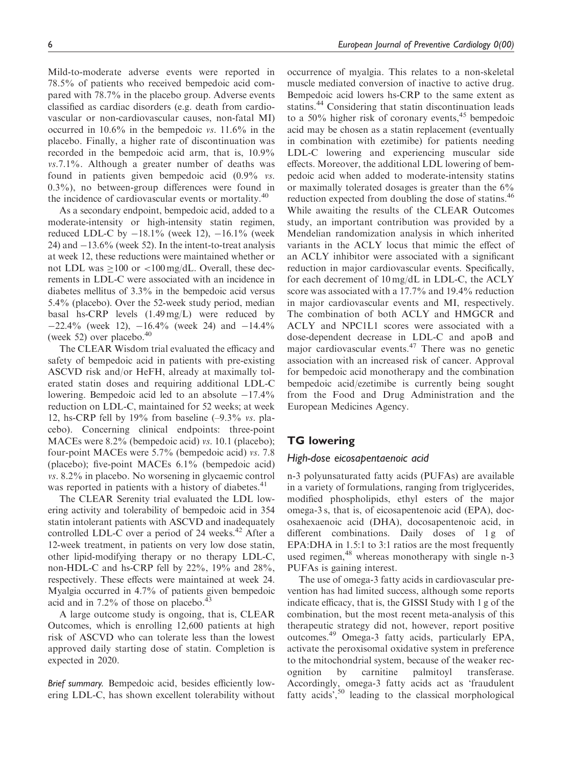Mild-to-moderate adverse events were reported in 78.5% of patients who received bempedoic acid compared with 78.7% in the placebo group. Adverse events classified as cardiac disorders (e.g. death from cardiovascular or non-cardiovascular causes, non-fatal MI) occurred in 10.6% in the bempedoic vs. 11.6% in the placebo. Finally, a higher rate of discontinuation was recorded in the bempedoic acid arm, that is, 10.9% vs.7.1%. Although a greater number of deaths was found in patients given bempedoic acid (0.9% vs. 0.3%), no between-group differences were found in the incidence of cardiovascular events or mortality.<sup>40</sup>

As a secondary endpoint, bempedoic acid, added to a moderate-intensity or high-intensity statin regimen, reduced LDL-C by  $-18.1\%$  (week 12),  $-16.1\%$  (week  $24$ ) and  $-13.6\%$  (week 52). In the intent-to-treat analysis at week 12, these reductions were maintained whether or not LDL was  $>100$  or  $< 100$  mg/dL. Overall, these decrements in LDL-C were associated with an incidence in diabetes mellitus of 3.3% in the bempedoic acid versus 5.4% (placebo). Over the 52-week study period, median basal hs-CRP levels (1.49 mg/L) were reduced by  $-22.4\%$  (week 12),  $-16.4\%$  (week 24) and  $-14.4\%$ (week 52) over placebo. $40$ 

The CLEAR Wisdom trial evaluated the efficacy and safety of bempedoic acid in patients with pre-existing ASCVD risk and/or HeFH, already at maximally tolerated statin doses and requiring additional LDL-C lowering. Bempedoic acid led to an absolute  $-17.4\%$ reduction on LDL-C, maintained for 52 weeks; at week 12, hs-CRP fell by 19% from baseline (–9.3% vs. placebo). Concerning clinical endpoints: three-point MACEs were 8.2% (bempedoic acid) *vs.* 10.1 (placebo); four-point MACEs were 5.7% (bempedoic acid) vs. 7.8 (placebo); five-point MACEs 6.1% (bempedoic acid) vs. 8.2% in placebo. No worsening in glycaemic control was reported in patients with a history of diabetes.<sup>41</sup>

The CLEAR Serenity trial evaluated the LDL lowering activity and tolerability of bempedoic acid in 354 statin intolerant patients with ASCVD and inadequately controlled LDL-C over a period of 24 weeks. $42$  After a 12-week treatment, in patients on very low dose statin, other lipid-modifying therapy or no therapy LDL-C, non-HDL-C and hs-CRP fell by 22%, 19% and 28%, respectively. These effects were maintained at week 24. Myalgia occurred in 4.7% of patients given bempedoic acid and in  $7.2\%$  of those on placebo. $\degree$ 

A large outcome study is ongoing, that is, CLEAR Outcomes, which is enrolling 12,600 patients at high risk of ASCVD who can tolerate less than the lowest approved daily starting dose of statin. Completion is expected in 2020.

Brief summary. Bempedoic acid, besides efficiently lowering LDL-C, has shown excellent tolerability without occurrence of myalgia. This relates to a non-skeletal muscle mediated conversion of inactive to active drug. Bempedoic acid lowers hs-CRP to the same extent as statins.<sup>44</sup> Considering that statin discontinuation leads to a 50% higher risk of coronary events,  $45$  bempedoic acid may be chosen as a statin replacement (eventually in combination with ezetimibe) for patients needing LDL-C lowering and experiencing muscular side effects. Moreover, the additional LDL lowering of bempedoic acid when added to moderate-intensity statins or maximally tolerated dosages is greater than the 6% reduction expected from doubling the dose of statins.<sup>46</sup> While awaiting the results of the CLEAR Outcomes study, an important contribution was provided by a Mendelian randomization analysis in which inherited variants in the ACLY locus that mimic the effect of an ACLY inhibitor were associated with a significant reduction in major cardiovascular events. Specifically, for each decrement of 10 mg/dL in LDL-C, the ACLY score was associated with a 17.7% and 19.4% reduction in major cardiovascular events and MI, respectively. The combination of both ACLY and HMGCR and ACLY and NPC1L1 scores were associated with a dose-dependent decrease in LDL-C and apoB and major cardiovascular events.<sup>47</sup> There was no genetic association with an increased risk of cancer. Approval for bempedoic acid monotherapy and the combination bempedoic acid/ezetimibe is currently being sought from the Food and Drug Administration and the European Medicines Agency.

## TG lowering

## High-dose eicosapentaenoic acid

n-3 polyunsaturated fatty acids (PUFAs) are available in a variety of formulations, ranging from triglycerides, modified phospholipids, ethyl esters of the major omega-3 s, that is, of eicosapentenoic acid (EPA), docosahexaenoic acid (DHA), docosapentenoic acid, in different combinations. Daily doses of 1g of EPA:DHA in 1.5:1 to 3:1 ratios are the most frequently used regimen,<sup>48</sup> whereas monotherapy with single n-3 PUFAs is gaining interest.

The use of omega-3 fatty acids in cardiovascular prevention has had limited success, although some reports indicate efficacy, that is, the GISSI Study with 1 g of the combination, but the most recent meta-analysis of this therapeutic strategy did not, however, report positive outcomes.<sup>49</sup> Omega-3 fatty acids, particularly EPA, activate the peroxisomal oxidative system in preference to the mitochondrial system, because of the weaker recognition by carnitine palmitoyl transferase. Accordingly, omega-3 fatty acids act as 'fraudulent fatty acids',  $50$  leading to the classical morphological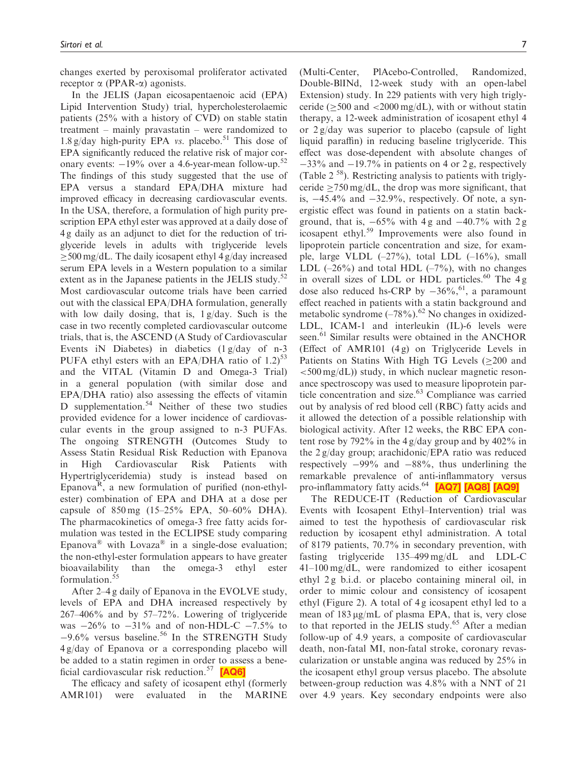<span id="page-8-0"></span>changes exerted by peroxisomal proliferator activated receptor  $\alpha$  (PPAR- $\alpha$ ) agonists.

In the JELIS (Japan eicosapentaenoic acid (EPA) Lipid Intervention Study) trial, hypercholesterolaemic patients (25% with a history of CVD) on stable statin treatment – mainly pravastatin – were randomized to 1.8 g/day high-purity EPA vs. placebo.<sup>51</sup> This dose of EPA significantly reduced the relative risk of major coronary events:  $-19\%$  over a 4.6-year-mean follow-up.<sup>52</sup> The findings of this study suggested that the use of EPA versus a standard EPA/DHA mixture had improved efficacy in decreasing cardiovascular events. In the USA, therefore, a formulation of high purity prescription EPA ethyl ester was approved at a daily dose of 4 g daily as an adjunct to diet for the reduction of triglyceride levels in adults with triglyceride levels  $>$  500 mg/dL. The daily icosapent ethyl 4 g/day increased serum EPA levels in a Western population to a similar extent as in the Japanese patients in the JELIS study.<sup>52</sup> Most cardiovascular outcome trials have been carried out with the classical EPA/DHA formulation, generally with low daily dosing, that is, 1 g/day. Such is the case in two recently completed cardiovascular outcome trials, that is, the ASCEND (A Study of Cardiovascular Events iN Diabetes) in diabetics  $(1 g/day of n-3)$ PUFA ethyl esters with an EPA/DHA ratio of  $1.2$ )<sup>53</sup> and the VITAL (Vitamin D and Omega-3 Trial) in a general population (with similar dose and EPA/DHA ratio) also assessing the effects of vitamin D supplementation.<sup>54</sup> Neither of these two studies provided evidence for a lower incidence of cardiovascular events in the group assigned to n-3 PUFAs. The ongoing STRENGTH (Outcomes Study to Assess Statin Residual Risk Reduction with Epanova in High Cardiovascular Risk Patients with Hypertriglyceridemia) study is instead based on Epanova<sup>R</sup>, a new formulation of purified (non-ethylester) combination of EPA and DHA at a dose per capsule of 850 mg (15–25% EPA, 50–60% DHA). The pharmacokinetics of omega-3 free fatty acids formulation was tested in the ECLIPSE study comparing Epanova<sup>®</sup> with Lovaza<sup>®</sup> in a single-dose evaluation; the non-ethyl-ester formulation appears to have greater bioavailability than the omega-3 ethyl ester formulation.<sup>55</sup>

After 2–4 g daily of Epanova in the EVOLVE study, levels of EPA and DHA increased respectively by 267–406% and by 57–72%. Lowering of triglyceride was  $-26\%$  to  $-31\%$  and of non-HDL-C  $-7.5\%$  to  $-9.6\%$  versus baseline.<sup>56</sup> In the STRENGTH Study 4 g/day of Epanova or a corresponding placebo will be added to a statin regimen in order to assess a bene-ficial cardiovascular risk reduction.<sup>57</sup> [\[AQ6\]](#page-0-0)

The efficacy and safety of icosapent ethyl (formerly AMR101) were evaluated in the MARINE (Multi-Center, PlAcebo-Controlled, Randomized, Double-BlINd, 12-week study with an open-label Extension) study. In 229 patients with very high triglyceride ( $> 500$  and  $< 2000$  mg/dL), with or without statin therapy, a 12-week administration of icosapent ethyl 4 or 2 g/day was superior to placebo (capsule of light liquid paraffin) in reducing baseline triglyceride. This effect was dose-dependent with absolute changes of  $-33\%$  and  $-19.7\%$  in patients on 4 or 2 g, respectively (Table  $2^{58}$ ). Restricting analysis to patients with triglyceride  $>750$  mg/dL, the drop was more significant, that is,  $-45.4\%$  and  $-32.9\%$ , respectively. Of note, a synergistic effect was found in patients on a statin background, that is,  $-65\%$  with 4g and  $-40.7\%$  with 2g icosapent ethyl.<sup>59</sup> Improvements were also found in lipoprotein particle concentration and size, for example, large VLDL  $(-27\%)$ , total LDL  $(-16\%)$ , small LDL  $(-26\%)$  and total HDL  $(-7\%)$ , with no changes in overall sizes of LDL or HDL particles.<sup>60</sup> The  $4g$ dose also reduced hs-CRP by  $-36\%$ , <sup>61</sup>, a paramount effect reached in patients with a statin background and metabolic syndrome  $(-78\%)$ .<sup>62</sup> No changes in oxidized-LDL, ICAM-1 and interleukin (IL)-6 levels were seen.<sup>61</sup> Similar results were obtained in the ANCHOR (Effect of AMR101 (4 g) on Triglyceride Levels in Patients on Statins With High TG Levels  $(\geq 200$  and  $\langle$  =500 mg/dL)) study, in which nuclear magnetic resonance spectroscopy was used to measure lipoprotein particle concentration and size.<sup>63</sup> Compliance was carried out by analysis of red blood cell (RBC) fatty acids and it allowed the detection of a possible relationship with biological activity. After 12 weeks, the RBC EPA content rose by 792% in the 4 g/day group and by 402% in the 2 g/day group; arachidonic/EPA ratio was reduced respectively  $-99\%$  and  $-88\%$ , thus underlining the remarkable prevalence of anti-inflammatory versus pro-inflammatory fatty acids.<sup>64</sup> [\[AQ7\]](#page-0-0) [\[AQ8\]](#page-0-0) [\[AQ9\]](#page-0-0)

The REDUCE-IT (Reduction of Cardiovascular Events with Icosapent Ethyl–Intervention) trial was aimed to test the hypothesis of cardiovascular risk reduction by icosapent ethyl administration. A total of 8179 patients, 70.7% in secondary prevention, with fasting triglyceride 135–499 mg/dL and LDL-C 41–100 mg/dL, were randomized to either icosapent ethyl 2 g b.i.d. or placebo containing mineral oil, in order to mimic colour and consistency of icosapent ethyl (Figure 2). A total of 4 g icosapent ethyl led to a mean of  $183 \mu g/mL$  of plasma EPA, that is, very close to that reported in the JELIS study.<sup>65</sup> After a median follow-up of 4.9 years, a composite of cardiovascular death, non-fatal MI, non-fatal stroke, coronary revascularization or unstable angina was reduced by 25% in the icosapent ethyl group versus placebo. The absolute between-group reduction was 4.8% with a NNT of 21 over 4.9 years. Key secondary endpoints were also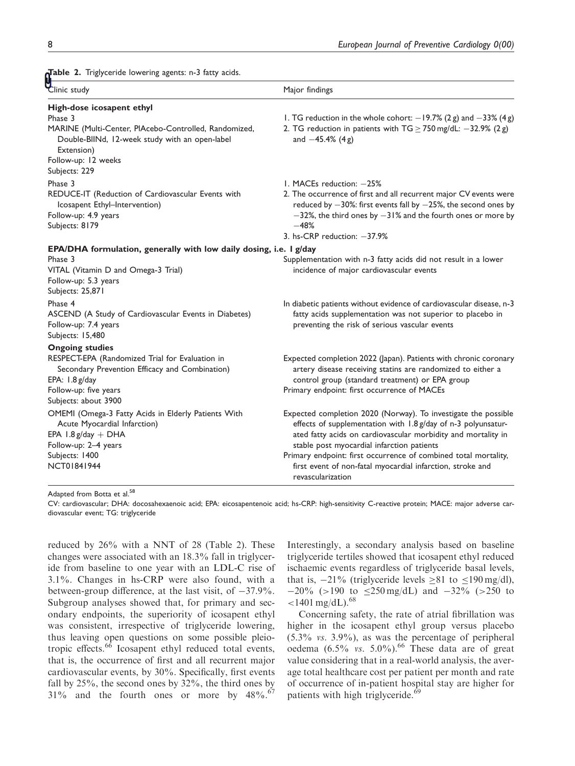Table 2. Triglyceride lowering agents: n-3 fatty acids.

| Clinic study                                                                                                                                                           | Major findings                                                                                                                                                                                                                                            |
|------------------------------------------------------------------------------------------------------------------------------------------------------------------------|-----------------------------------------------------------------------------------------------------------------------------------------------------------------------------------------------------------------------------------------------------------|
| High-dose icosapent ethyl<br>Phase 3<br>MARINE (Multi-Center, PIAcebo-Controlled, Randomized,<br>Double-BIINd, 12-week study with an open-label                        | 1. TG reduction in the whole cohort: $-19.7\%$ (2 g) and $-33\%$ (4 g)<br>2. TG reduction in patients with $TG \ge 750$ mg/dL: $-32.9\%$ (2 g)<br>and $-45.4%$ (4g)                                                                                       |
| Extension)<br>Follow-up: 12 weeks                                                                                                                                      |                                                                                                                                                                                                                                                           |
| Subjects: 229                                                                                                                                                          |                                                                                                                                                                                                                                                           |
| Phase 3                                                                                                                                                                | 1. MACEs reduction: -25%                                                                                                                                                                                                                                  |
| REDUCE-IT (Reduction of Cardiovascular Events with<br>Icosapent Ethyl-Intervention)<br>Follow-up: 4.9 years<br>Subjects: 8179                                          | 2. The occurrence of first and all recurrent major CV events were<br>reduced by $-30\%$ : first events fall by $-25\%$ , the second ones by<br>$-32$ %, the third ones by $-31$ % and the fourth ones or more by<br>$-48%$<br>3. hs-CRP reduction: -37.9% |
| EPA/DHA formulation, generally with low daily dosing, i.e. I g/day                                                                                                     |                                                                                                                                                                                                                                                           |
| Phase 3<br>VITAL (Vitamin D and Omega-3 Trial)<br>Follow-up: 5.3 years<br>Subjects: 25,871                                                                             | Supplementation with n-3 fatty acids did not result in a lower<br>incidence of major cardiovascular events                                                                                                                                                |
| Phase 4<br>ASCEND (A Study of Cardiovascular Events in Diabetes)<br>Follow-up: 7.4 years<br>Subjects: 15,480                                                           | In diabetic patients without evidence of cardiovascular disease, n-3<br>fatty acids supplementation was not superior to placebo in<br>preventing the risk of serious vascular events                                                                      |
| <b>Ongoing studies</b>                                                                                                                                                 |                                                                                                                                                                                                                                                           |
| RESPECT-EPA (Randomized Trial for Evaluation in<br>Secondary Prevention Efficacy and Combination)<br>EPA: $1.8$ g/day<br>Follow-up: five years<br>Subjects: about 3900 | Expected completion 2022 (Japan). Patients with chronic coronary<br>artery disease receiving statins are randomized to either a<br>control group (standard treatment) or EPA group<br>Primary endpoint: first occurrence of MACEs                         |
| OMEMI (Omega-3 Fatty Acids in Elderly Patients With<br>Acute Myocardial Infarction)<br>EPA $1.8$ g/day + DHA                                                           | Expected completion 2020 (Norway). To investigate the possible<br>effects of supplementation with 1.8 g/day of n-3 polyunsatur-<br>ated fatty acids on cardiovascular morbidity and mortality in                                                          |
| Follow-up: 2-4 years<br>Subjects: 1400<br>NCT01841944                                                                                                                  | stable post myocardial infarction patients<br>Primary endpoint: first occurrence of combined total mortality,<br>first event of non-fatal myocardial infarction, stroke and<br>revascularization                                                          |

Adapted from Botta et al.<sup>58</sup>

CV: cardiovascular; DHA: docosahexaenoic acid; EPA: eicosapentenoic acid; hs-CRP: high-sensitivity C-reactive protein; MACE: major adverse cardiovascular event; TG: triglyceride

reduced by 26% with a NNT of 28 (Table 2). These changes were associated with an 18.3% fall in triglyceride from baseline to one year with an LDL-C rise of 3.1%. Changes in hs-CRP were also found, with a between-group difference, at the last visit, of  $-37.9\%$ . Subgroup analyses showed that, for primary and secondary endpoints, the superiority of icosapent ethyl was consistent, irrespective of triglyceride lowering, thus leaving open questions on some possible pleiotropic effects.<sup>66</sup> Icosapent ethyl reduced total events, that is, the occurrence of first and all recurrent major cardiovascular events, by 30%. Specifically, first events fall by 25%, the second ones by 32%, the third ones by  $31\%$  and the fourth ones or more by  $48\%$ .<sup>67</sup>

Interestingly, a secondary analysis based on baseline triglyceride tertiles showed that icosapent ethyl reduced ischaemic events regardless of triglyceride basal levels, that is,  $-21\%$  (triglyceride levels  $\geq 81$  to  $\leq 190 \text{ mg/dl}$ ),  $-20\%$  (>190 to  $\leq$ 250 mg/dL) and  $-32\%$  (>250 to  $<$ 1401 mg/dL).<sup>68</sup>

Concerning safety, the rate of atrial fibrillation was higher in the icosapent ethyl group versus placebo  $(5.3\% \text{ vs. } 3.9\%)$ , as was the percentage of peripheral oedema  $(6.5\% \text{ vs. } 5.0\%)$ .<sup>66</sup> These data are of great value considering that in a real-world analysis, the average total healthcare cost per patient per month and rate of occurrence of in-patient hospital stay are higher for patients with high triglyceride.<sup>69</sup>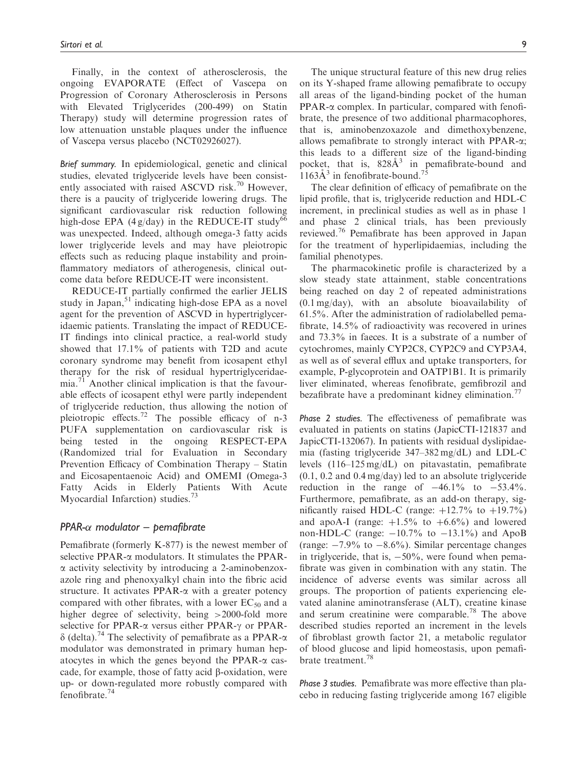Finally, in the context of atherosclerosis, the ongoing EVAPORATE (Effect of Vascepa on Progression of Coronary Atherosclerosis in Persons with Elevated Triglycerides (200-499) on Statin Therapy) study will determine progression rates of low attenuation unstable plaques under the influence of Vascepa versus placebo (NCT02926027).

Brief summary. In epidemiological, genetic and clinical studies, elevated triglyceride levels have been consistently associated with raised ASCVD risk.<sup>70</sup> However, there is a paucity of triglyceride lowering drugs. The significant cardiovascular risk reduction following high-dose EPA (4 g/day) in the REDUCE-IT study<sup>66</sup> was unexpected. Indeed, although omega-3 fatty acids lower triglyceride levels and may have pleiotropic effects such as reducing plaque instability and proinflammatory mediators of atherogenesis, clinical outcome data before REDUCE-IT were inconsistent.

REDUCE-IT partially confirmed the earlier JELIS study in Japan,<sup>51</sup> indicating high-dose EPA as a novel agent for the prevention of ASCVD in hypertriglyceridaemic patients. Translating the impact of REDUCE-IT findings into clinical practice, a real-world study showed that 17.1% of patients with T2D and acute coronary syndrome may benefit from icosapent ethyl therapy for the risk of residual hypertriglyceridaemia.<sup>71</sup> Another clinical implication is that the favourable effects of icosapent ethyl were partly independent of triglyceride reduction, thus allowing the notion of pleiotropic effects.<sup>72</sup> The possible efficacy of  $n-3$ PUFA supplementation on cardiovascular risk is being tested in the ongoing RESPECT-EPA (Randomized trial for Evaluation in Secondary Prevention Efficacy of Combination Therapy – Statin and Eicosapentaenoic Acid) and OMEMI (Omega-3 Fatty Acids in Elderly Patients With Acute Myocardial Infarction) studies.<sup>73</sup>

## PPAR- $\alpha$  modulator – pemafibrate

Pemafibrate (formerly K-877) is the newest member of selective PPAR- $\alpha$  modulators. It stimulates the PPAR- $\alpha$  activity selectivity by introducing a 2-aminobenzoxazole ring and phenoxyalkyl chain into the fibric acid structure. It activates PPAR- $\alpha$  with a greater potency compared with other fibrates, with a lower  $EC_{50}$  and a higher degree of selectivity, being >2000-fold more selective for PPAR- $\alpha$  versus either PPAR- $\gamma$  or PPAR- $\delta$  (delta).<sup>74</sup> The selectivity of pemafibrate as a PPAR- $\alpha$ modulator was demonstrated in primary human hepatocytes in which the genes beyond the PPAR- $\alpha$  cascade, for example, those of fatty acid  $\beta$ -oxidation, were up- or down-regulated more robustly compared with fenofibrate.<sup>74</sup>

The unique structural feature of this new drug relies on its Y-shaped frame allowing pemafibrate to occupy all areas of the ligand-binding pocket of the human  $PPAR-\alpha$  complex. In particular, compared with fenofibrate, the presence of two additional pharmacophores, that is, aminobenzoxazole and dimethoxybenzene, allows pemafibrate to strongly interact with PPAR-a; this leads to a different size of the ligand-binding pocket, that is,  $828\text{\AA}^3$  in pemafibrate-bound and  $1163\AA$ <sup>3</sup> in fenofibrate-bound.<sup>75</sup>

The clear definition of efficacy of pemafibrate on the lipid profile, that is, triglyceride reduction and HDL-C increment, in preclinical studies as well as in phase 1 and phase 2 clinical trials, has been previously reviewed.<sup>76</sup> Pemafibrate has been approved in Japan for the treatment of hyperlipidaemias, including the familial phenotypes.

The pharmacokinetic profile is characterized by a slow steady state attainment, stable concentrations being reached on day 2 of repeated administrations (0.1 mg/day), with an absolute bioavailability of 61.5%. After the administration of radiolabelled pemafibrate, 14.5% of radioactivity was recovered in urines and 73.3% in faeces. It is a substrate of a number of cytochromes, mainly CYP2C8, CYP2C9 and CYP3A4, as well as of several efflux and uptake transporters, for example, P-glycoprotein and OATP1B1. It is primarily liver eliminated, whereas fenofibrate, gemfibrozil and bezafibrate have a predominant kidney elimination.<sup>77</sup>

Phase 2 studies. The effectiveness of pemafibrate was evaluated in patients on statins (JapicCTI-121837 and JapicCTI-132067). In patients with residual dyslipidaemia (fasting triglyceride 347–382 mg/dL) and LDL-C levels (116–125 mg/dL) on pitavastatin, pemafibrate (0.1, 0.2 and 0.4 mg/day) led to an absolute triglyceride reduction in the range of  $-46.1\%$  to  $-53.4\%$ . Furthermore, pemafibrate, as an add-on therapy, significantly raised HDL-C (range:  $+12.7\%$  to  $+19.7\%$ ) and apoA-I (range:  $+1.5\%$  to  $+6.6\%$ ) and lowered non-HDL-C (range:  $-10.7\%$  to  $-13.1\%$ ) and ApoB (range:  $-7.9\%$  to  $-8.6\%$ ). Similar percentage changes in triglyceride, that is,  $-50\%$ , were found when pemafibrate was given in combination with any statin. The incidence of adverse events was similar across all groups. The proportion of patients experiencing elevated alanine aminotransferase (ALT), creatine kinase and serum creatinine were comparable.<sup>78</sup> The above described studies reported an increment in the levels of fibroblast growth factor 21, a metabolic regulator of blood glucose and lipid homeostasis, upon pemafibrate treatment.<sup>78</sup>

Phase 3 studies. Pemafibrate was more effective than placebo in reducing fasting triglyceride among 167 eligible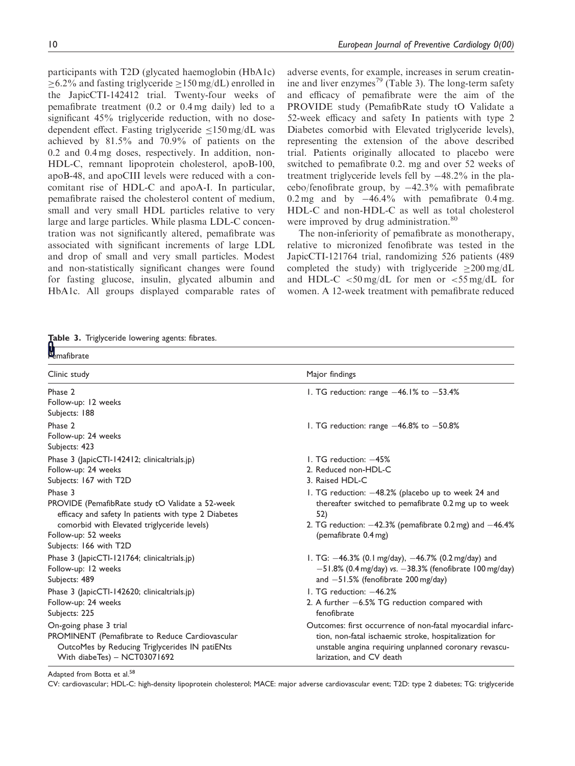participants with T2D (glycated haemoglobin (HbA1c)  $>6.2\%$  and fasting triglyceride  $>150$  mg/dL) enrolled in the JapicCTI-142412 trial. Twenty-four weeks of pemafibrate treatment (0.2 or 0.4 mg daily) led to a significant 45% triglyceride reduction, with no dosedependent effect. Fasting triglyceride  $\leq 150$  mg/dL was achieved by 81.5% and 70.9% of patients on the 0.2 and 0.4 mg doses, respectively. In addition, non-HDL-C, remnant lipoprotein cholesterol, apoB-100, apoB-48, and apoCIII levels were reduced with a concomitant rise of HDL-C and apoA-I. In particular, pemafibrate raised the cholesterol content of medium, small and very small HDL particles relative to very large and large particles. While plasma LDL-C concentration was not significantly altered, pemafibrate was associated with significant increments of large LDL and drop of small and very small particles. Modest and non-statistically significant changes were found for fasting glucose, insulin, glycated albumin and HbA1c. All groups displayed comparable rates of adverse events, for example, increases in serum creatinine and liver enzymes<sup>79</sup> (Table 3). The long-term safety and efficacy of pemafibrate were the aim of the PROVIDE study (PemafibRate study tO Validate a 52-week efficacy and safety In patients with type 2 Diabetes comorbid with Elevated triglyceride levels), representing the extension of the above described trial. Patients originally allocated to placebo were switched to pemafibrate 0.2. mg and over 52 weeks of treatment triglyceride levels fell by  $-48.2\%$  in the pla $cebo/fenofibrate group, by  $-42.3\%$  with pemafibrate$ 0.2 mg and by  $-46.4\%$  with pemafibrate 0.4 mg. HDL-C and non-HDL-C as well as total cholesterol were improved by drug administration.<sup>80</sup>

The non-inferiority of pemafibrate as monotherapy, relative to micronized fenofibrate was tested in the JapicCTI-121764 trial, randomizing 526 patients (489 completed the study) with triglyceride  $>200 \,\text{mg/dL}$ and HDL-C  $\lt$  50 mg/dL for men or  $\lt$  55 mg/dL for women. A 12-week treatment with pemafibrate reduced

|  |  | ${\bf \large \sf \overline{A}}$ able 3. Triglyceride lowering agents: fibrates. |  |  |  |
|--|--|---------------------------------------------------------------------------------|--|--|--|
|--|--|---------------------------------------------------------------------------------|--|--|--|

| <b>d</b><br>Pemafibrate                              |                                                               |  |  |
|------------------------------------------------------|---------------------------------------------------------------|--|--|
|                                                      |                                                               |  |  |
| Clinic study                                         | Major findings                                                |  |  |
| Phase 2                                              | 1. TG reduction: range $-46.1\%$ to $-53.4\%$                 |  |  |
| Follow-up: 12 weeks                                  |                                                               |  |  |
| Subjects: 188                                        |                                                               |  |  |
| Phase 2                                              | 1. TG reduction: range $-46.8\%$ to $-50.8\%$                 |  |  |
| Follow-up: 24 weeks                                  |                                                               |  |  |
| Subjects: 423                                        |                                                               |  |  |
| Phase 3 (JapicCTI-142412; clinicaltrials.jp)         | 1. TG reduction: $-45%$                                       |  |  |
| Follow-up: 24 weeks                                  | 2. Reduced non-HDL-C                                          |  |  |
| Subjects: 167 with T2D                               | 3. Raised HDL-C                                               |  |  |
| Phase 3                                              | I. TG reduction: -48.2% (placebo up to week 24 and            |  |  |
| PROVIDE (PemafibRate study tO Validate a 52-week     | thereafter switched to pemafibrate 0.2 mg up to week          |  |  |
| efficacy and safety In patients with type 2 Diabetes | 52)                                                           |  |  |
| comorbid with Elevated triglyceride levels)          | 2. TG reduction: $-42.3\%$ (pemafibrate 0.2 mg) and $-46.4\%$ |  |  |
| Follow-up: 52 weeks                                  | (pemafibrate 0.4 mg)                                          |  |  |
| Subjects: 166 with T2D                               |                                                               |  |  |
| Phase 3 (JapicCTI-121764; clinicaltrials.jp)         | I. TG: -46.3% (0.1 mg/day), -46.7% (0.2 mg/day) and           |  |  |
| Follow-up: 12 weeks                                  | $-51.8\%$ (0.4 mg/day) vs. $-38.3\%$ (fenofibrate 100 mg/day) |  |  |
| Subjects: 489                                        | and $-51.5\%$ (fenofibrate 200 mg/day)                        |  |  |
| Phase 3 (JapicCTI-142620; clinicaltrials.jp)         | 1. TG reduction: -46.2%                                       |  |  |
| Follow-up: 24 weeks                                  | 2. A further $-6.5\%$ TG reduction compared with              |  |  |
| Subjects: 225                                        | fenofibrate                                                   |  |  |
| On-going phase 3 trial                               | Outcomes: first occurrence of non-fatal myocardial infarc-    |  |  |
| PROMINENT (Pemafibrate to Reduce Cardiovascular      | tion, non-fatal ischaemic stroke, hospitalization for         |  |  |
| OutcoMes by Reducing Triglycerides IN patiENts       | unstable angina requiring unplanned coronary revascu-         |  |  |
| With diabeTes) - NCT03071692                         | larization, and CV death                                      |  |  |

Adapted from Botta et al.<sup>58</sup>

CV: cardiovascular; HDL-C: high-density lipoprotein cholesterol; MACE: major adverse cardiovascular event; T2D: type 2 diabetes; TG: triglyceride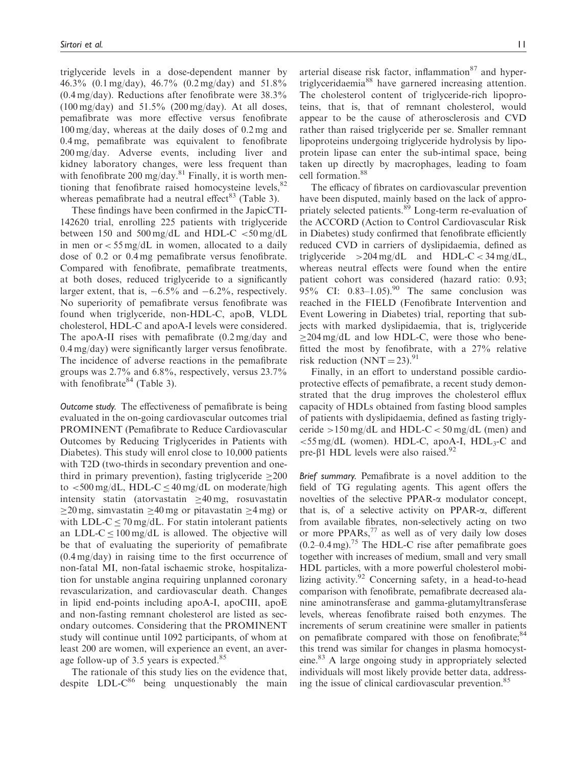triglyceride levels in a dose-dependent manner by 46.3% (0.1 mg/day), 46.7% (0.2 mg/day) and 51.8% (0.4 mg/day). Reductions after fenofibrate were 38.3%  $(100 \text{ mg/day})$  and  $51.5\%$   $(200 \text{ mg/day})$ . At all doses, pemafibrate was more effective versus fenofibrate 100 mg/day, whereas at the daily doses of 0.2 mg and 0.4 mg, pemafibrate was equivalent to fenofibrate 200 mg/day. Adverse events, including liver and kidney laboratory changes, were less frequent than with fenofibrate 200 mg/day.<sup>81</sup> Finally, it is worth mentioning that fenofibrate raised homocysteine levels, $82$ whereas pemafibrate had a neutral effect<sup>83</sup> (Table 3).

These findings have been confirmed in the JapicCTI-142620 trial, enrolling 225 patients with triglyceride between 150 and 500 mg/dL and HDL-C  $<$  50 mg/dL in men or  $<$  55 mg/dL in women, allocated to a daily dose of 0.2 or 0.4 mg pemafibrate versus fenofibrate. Compared with fenofibrate, pemafibrate treatments, at both doses, reduced triglyceride to a significantly larger extent, that is,  $-6.5\%$  and  $-6.2\%$ , respectively. No superiority of pemafibrate versus fenofibrate was found when triglyceride, non-HDL-C, apoB, VLDL cholesterol, HDL-C and apoA-I levels were considered. The apoA-II rises with pemafibrate (0.2 mg/day and 0.4 mg/day) were significantly larger versus fenofibrate. The incidence of adverse reactions in the pemafibrate groups was 2.7% and 6.8%, respectively, versus 23.7% with fenofibrate  $84$  (Table 3).

Outcome study. The effectiveness of pemafibrate is being evaluated in the on-going cardiovascular outcomes trial PROMINENT (Pemafibrate to Reduce Cardiovascular Outcomes by Reducing Triglycerides in Patients with Diabetes). This study will enrol close to 10,000 patients with T2D (two-thirds in secondary prevention and onethird in primary prevention), fasting triglyceride  $\geq 200$ to  $\lt$ 500 mg/dL, HDL-C  $\leq$ 40 mg/dL on moderate/high intensity statin (atorvastatin  $\geq 40$  mg, rosuvastatin  $>$ 20 mg, simvastatin  $>$ 40 mg or pitavastatin  $>$ 4 mg) or with LDL-C  $\leq$  70 mg/dL. For statin intolerant patients an LDL-C  $\leq$  100 mg/dL is allowed. The objective will be that of evaluating the superiority of pemafibrate (0.4 mg/day) in raising time to the first occurrence of non-fatal MI, non-fatal ischaemic stroke, hospitalization for unstable angina requiring unplanned coronary revascularization, and cardiovascular death. Changes in lipid end-points including apoA-I, apoCIII, apoE and non-fasting remnant cholesterol are listed as secondary outcomes. Considering that the PROMINENT study will continue until 1092 participants, of whom at least 200 are women, will experience an event, an average follow-up of 3.5 years is expected.<sup>85</sup>

The rationale of this study lies on the evidence that, despite  $LDL-C^{86}$  being unquestionably the main arterial disease risk factor, inflammation $87$  and hypertriglyceridaemia<sup>88</sup> have garnered increasing attention. The cholesterol content of triglyceride-rich lipoproteins, that is, that of remnant cholesterol, would appear to be the cause of atherosclerosis and CVD rather than raised triglyceride per se. Smaller remnant lipoproteins undergoing triglyceride hydrolysis by lipoprotein lipase can enter the sub-intimal space, being taken up directly by macrophages, leading to foam cell formation.<sup>88</sup>

The efficacy of fibrates on cardiovascular prevention have been disputed, mainly based on the lack of appropriately selected patients.<sup>89</sup> Long-term re-evaluation of the ACCORD (Action to Control Cardiovascular Risk in Diabetes) study confirmed that fenofibrate efficiently reduced CVD in carriers of dyslipidaemia, defined as triglyceride  $>204 \text{ mg/dL}$  and HDL-C < 34 mg/dL, whereas neutral effects were found when the entire patient cohort was considered (hazard ratio: 0.93; 95% CI:  $0.83-1.05$ . The same conclusion was reached in the FIELD (Fenofibrate Intervention and Event Lowering in Diabetes) trial, reporting that subjects with marked dyslipidaemia, that is, triglyceride  $\geq$ 204 mg/dL and low HDL-C, were those who benefitted the most by fenofibrate, with a 27% relative risk reduction  $(NNT = 23)$ .<sup>91</sup>

Finally, in an effort to understand possible cardioprotective effects of pemafibrate, a recent study demonstrated that the drug improves the cholesterol efflux capacity of HDLs obtained from fasting blood samples of patients with dyslipidaemia, defined as fasting triglyceride  $>150$  mg/dL and HDL-C  $< 50$  mg/dL (men) and  $\leq$ 55 mg/dL (women). HDL-C, apoA-I, HDL<sub>3</sub>-C and pre- $\beta$ 1 HDL levels were also raised.<sup>92</sup>

Brief summary. Pemafibrate is a novel addition to the field of TG regulating agents. This agent offers the novelties of the selective PPAR-a modulator concept, that is, of a selective activity on PPAR- $\alpha$ , different from available fibrates, non-selectively acting on two or more PPARs, $^{77}$  as well as of very daily low doses  $(0.2-0.4 \,\mathrm{mg})$ .<sup>75</sup> The HDL-C rise after pemafibrate goes together with increases of medium, small and very small HDL particles, with a more powerful cholesterol mobilizing activity. $92$  Concerning safety, in a head-to-head comparison with fenofibrate, pemafibrate decreased alanine aminotransferase and gamma-glutamyltransferase levels, whereas fenofibrate raised both enzymes. The increments of serum creatinine were smaller in patients on pemafibrate compared with those on fenofibrate;<sup>84</sup> this trend was similar for changes in plasma homocysteine.83 A large ongoing study in appropriately selected individuals will most likely provide better data, addressing the issue of clinical cardiovascular prevention.<sup>85</sup>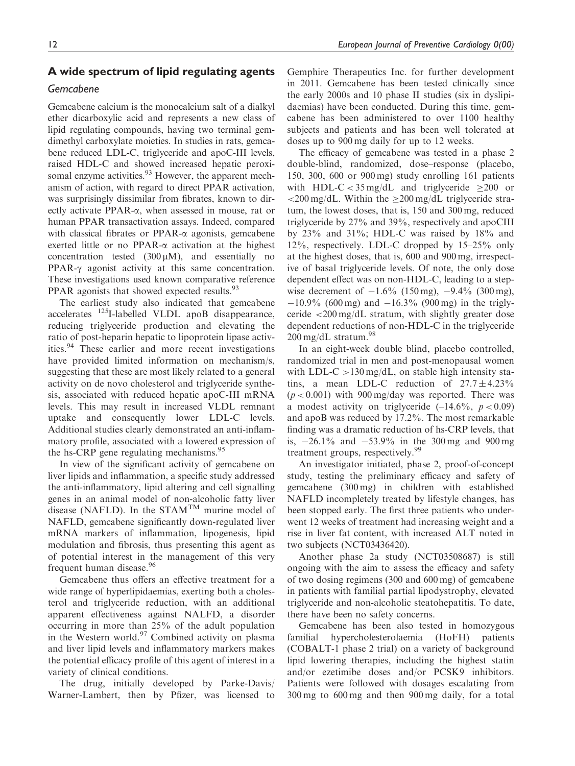## A wide spectrum of lipid regulating agents

## Gemcabene

Gemcabene calcium is the monocalcium salt of a dialkyl ether dicarboxylic acid and represents a new class of lipid regulating compounds, having two terminal gemdimethyl carboxylate moieties. In studies in rats, gemcabene reduced LDL-C, triglyceride and apoC-III levels, raised HDL-C and showed increased hepatic peroxisomal enzyme activities.<sup>93</sup> However, the apparent mechanism of action, with regard to direct PPAR activation, was surprisingly dissimilar from fibrates, known to directly activate PPAR-a, when assessed in mouse, rat or human PPAR transactivation assays. Indeed, compared with classical fibrates or PPAR- $\alpha$  agonists, gemcabene exerted little or no PPAR- $\alpha$  activation at the highest concentration tested  $(300 \mu M)$ , and essentially no  $PPAR-\gamma$  agonist activity at this same concentration. These investigations used known comparative reference PPAR agonists that showed expected results.<sup>93</sup>

The earliest study also indicated that gemcabene accelerates 125I-labelled VLDL apoB disappearance, reducing triglyceride production and elevating the ratio of post-heparin hepatic to lipoprotein lipase activities.<sup>94</sup> These earlier and more recent investigations have provided limited information on mechanism/s, suggesting that these are most likely related to a general activity on de novo cholesterol and triglyceride synthesis, associated with reduced hepatic apoC-III mRNA levels. This may result in increased VLDL remnant uptake and consequently lower LDL-C levels. Additional studies clearly demonstrated an anti-inflammatory profile, associated with a lowered expression of the hs-CRP gene regulating mechanisms.<sup>95</sup>

In view of the significant activity of gemcabene on liver lipids and inflammation, a specific study addressed the anti-inflammatory, lipid altering and cell signalling genes in an animal model of non-alcoholic fatty liver disease (NAFLD). In the STAMTM murine model of NAFLD, gemcabene significantly down-regulated liver mRNA markers of inflammation, lipogenesis, lipid modulation and fibrosis, thus presenting this agent as of potential interest in the management of this very frequent human disease.<sup>96</sup>

Gemcabene thus offers an effective treatment for a wide range of hyperlipidaemias, exerting both a cholesterol and triglyceride reduction, with an additional apparent effectiveness against NALFD, a disorder occurring in more than 25% of the adult population in the Western world.<sup>97</sup> Combined activity on plasma and liver lipid levels and inflammatory markers makes the potential efficacy profile of this agent of interest in a variety of clinical conditions.

The drug, initially developed by Parke-Davis/ Warner-Lambert, then by Pfizer, was licensed to Gemphire Therapeutics Inc. for further development in 2011. Gemcabene has been tested clinically since the early 2000s and 10 phase II studies (six in dyslipidaemias) have been conducted. During this time, gemcabene has been administered to over 1100 healthy subjects and patients and has been well tolerated at doses up to 900 mg daily for up to 12 weeks.

The efficacy of gemcabene was tested in a phase 2 double-blind, randomized, dose–response (placebo, 150, 300, 600 or 900 mg) study enrolling 161 patients with HDL-C <  $35 \text{ mg/dL}$  and triglyceride > 200 or  $\langle 200 \text{ mg/dL}$ . Within the  $> 200 \text{ mg/dL}$  triglyceride stratum, the lowest doses, that is, 150 and 300 mg, reduced triglyceride by 27% and 39%, respectively and apoCIII by 23% and 31%; HDL-C was raised by 18% and 12%, respectively. LDL-C dropped by 15–25% only at the highest doses, that is, 600 and 900 mg, irrespective of basal triglyceride levels. Of note, the only dose dependent effect was on non-HDL-C, leading to a stepwise decrement of  $-1.6\%$  (150 mg),  $-9.4\%$  (300 mg),  $-10.9\%$  (600 mg) and  $-16.3\%$  (900 mg) in the triglyceride <200 mg/dL stratum, with slightly greater dose dependent reductions of non-HDL-C in the triglyceride  $200 \,\text{mg/dL}$  stratum.<sup>98</sup>

In an eight-week double blind, placebo controlled, randomized trial in men and post-menopausal women with LDL-C  $>130 \text{ mg/dL}$ , on stable high intensity statins, a mean LDL-C reduction of  $27.7 \pm 4.23\%$  $(p < 0.001)$  with 900 mg/day was reported. There was a modest activity on triglyceride  $(-14.6\%, p < 0.09)$ and apoB was reduced by 17.2%. The most remarkable finding was a dramatic reduction of hs-CRP levels, that is, -26.1% and -53.9% in the 300 mg and 900 mg treatment groups, respectively.<sup>99</sup>

An investigator initiated, phase 2, proof-of-concept study, testing the preliminary efficacy and safety of gemcabene (300 mg) in children with established NAFLD incompletely treated by lifestyle changes, has been stopped early. The first three patients who underwent 12 weeks of treatment had increasing weight and a rise in liver fat content, with increased ALT noted in two subjects (NCT03436420).

Another phase 2a study (NCT03508687) is still ongoing with the aim to assess the efficacy and safety of two dosing regimens (300 and 600 mg) of gemcabene in patients with familial partial lipodystrophy, elevated triglyceride and non-alcoholic steatohepatitis. To date, there have been no safety concerns.

Gemcabene has been also tested in homozygous familial hypercholesterolaemia (HoFH) patients (COBALT-1 phase 2 trial) on a variety of background lipid lowering therapies, including the highest statin and/or ezetimibe doses and/or PCSK9 inhibitors. Patients were followed with dosages escalating from 300 mg to 600 mg and then 900 mg daily, for a total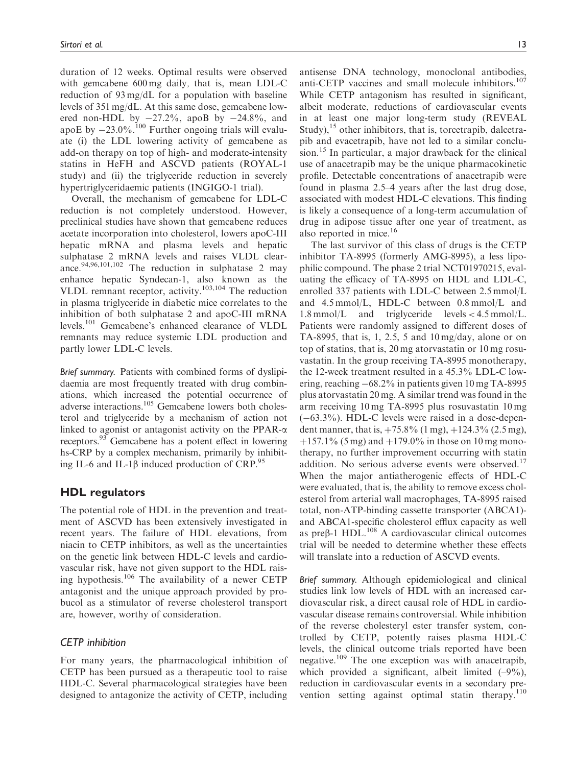duration of 12 weeks. Optimal results were observed with gemcabene 600 mg daily, that is, mean LDL-C reduction of 93 mg/dL for a population with baseline levels of 351 mg/dL. At this same dose, gemcabene lowered non-HDL by  $-27.2\%$ , apoB by  $-24.8\%$ , and apoE by  $-23.0\%$ .<sup>100</sup> Further ongoing trials will evaluate (i) the LDL lowering activity of gemcabene as add-on therapy on top of high- and moderate-intensity statins in HeFH and ASCVD patients (ROYAL-1 study) and (ii) the triglyceride reduction in severely hypertriglyceridaemic patients (INGIGO-1 trial).

Overall, the mechanism of gemcabene for LDL-C reduction is not completely understood. However, preclinical studies have shown that gemcabene reduces acetate incorporation into cholesterol, lowers apoC-III hepatic mRNA and plasma levels and hepatic sulphatase 2 mRNA levels and raises VLDL clearance.<sup>94,96,101,102</sup> The reduction in sulphatase 2 may enhance hepatic Syndecan-1, also known as the VLDL remnant receptor, activity.103,104 The reduction in plasma triglyceride in diabetic mice correlates to the inhibition of both sulphatase 2 and apoC-III mRNA levels.<sup>101</sup> Gemcabene's enhanced clearance of VLDL remnants may reduce systemic LDL production and partly lower LDL-C levels.

Brief summary. Patients with combined forms of dyslipidaemia are most frequently treated with drug combinations, which increased the potential occurrence of adverse interactions.105 Gemcabene lowers both cholesterol and triglyceride by a mechanism of action not linked to agonist or antagonist activity on the PPAR- $\alpha$ receptors.<sup>93</sup> Gemcabene has a potent effect in lowering hs-CRP by a complex mechanism, primarily by inhibiting IL-6 and IL-1 $\beta$  induced production of CRP.<sup>95</sup>

## HDL regulators

The potential role of HDL in the prevention and treatment of ASCVD has been extensively investigated in recent years. The failure of HDL elevations, from niacin to CETP inhibitors, as well as the uncertainties on the genetic link between HDL-C levels and cardiovascular risk, have not given support to the HDL raising hypothesis.<sup>106</sup> The availability of a newer CETP antagonist and the unique approach provided by probucol as a stimulator of reverse cholesterol transport are, however, worthy of consideration.

## CETP inhibition

For many years, the pharmacological inhibition of CETP has been pursued as a therapeutic tool to raise HDL-C. Several pharmacological strategies have been designed to antagonize the activity of CETP, including

antisense DNA technology, monoclonal antibodies, anti-CETP vaccines and small molecule inhibitors.<sup>107</sup> While CETP antagonism has resulted in significant, albeit moderate, reductions of cardiovascular events in at least one major long-term study (REVEAL Study),  $15$  other inhibitors, that is, torcetrapib, dalcetrapib and evacetrapib, have not led to a similar conclusion.<sup>15</sup> In particular, a major drawback for the clinical use of anacetrapib may be the unique pharmacokinetic profile. Detectable concentrations of anacetrapib were found in plasma 2.5–4 years after the last drug dose, associated with modest HDL-C elevations. This finding is likely a consequence of a long-term accumulation of drug in adipose tissue after one year of treatment, as also reported in mice.<sup>16</sup>

The last survivor of this class of drugs is the CETP inhibitor TA-8995 (formerly AMG-8995), a less lipophilic compound. The phase 2 trial NCT01970215, evaluating the efficacy of TA-8995 on HDL and LDL-C, enrolled 337 patients with LDL-C between 2.5 mmol/L and 4.5 mmol/L, HDL-C between 0.8 mmol/L and 1.8 mmol/L and triglyceride levels < 4.5 mmol/L. Patients were randomly assigned to different doses of TA-8995, that is, 1, 2.5, 5 and 10 mg/day, alone or on top of statins, that is, 20 mg atorvastatin or 10 mg rosuvastatin. In the group receiving TA-8995 monotherapy, the 12-week treatment resulted in a 45.3% LDL-C lowering, reaching -68.2% in patients given 10 mg TA-8995 plus atorvastatin 20 mg. A similar trend was found in the arm receiving 10 mg TA-8995 plus rosuvastatin 10 mg (-63.3%). HDL-C levels were raised in a dose-dependent manner, that is,  $+75.8\%$  (1 mg),  $+124.3\%$  (2.5 mg),  $+157.1\%$  (5 mg) and  $+179.0\%$  in those on 10 mg monotherapy, no further improvement occurring with statin addition. No serious adverse events were observed.<sup>17</sup> When the major antiatherogenic effects of HDL-C were evaluated, that is, the ability to remove excess cholesterol from arterial wall macrophages, TA-8995 raised total, non-ATP-binding cassette transporter (ABCA1) and ABCA1-specific cholesterol efflux capacity as well as pre $\beta$ -1 HDL.<sup>108</sup> A cardiovascular clinical outcomes trial will be needed to determine whether these effects will translate into a reduction of ASCVD events.

Brief summary. Although epidemiological and clinical studies link low levels of HDL with an increased cardiovascular risk, a direct causal role of HDL in cardiovascular disease remains controversial. While inhibition of the reverse cholesteryl ester transfer system, controlled by CETP, potently raises plasma HDL-C levels, the clinical outcome trials reported have been negative.<sup>109</sup> The one exception was with anacetrapib, which provided a significant, albeit limited  $(-9\%)$ , reduction in cardiovascular events in a secondary prevention setting against optimal statin therapy.<sup>110</sup>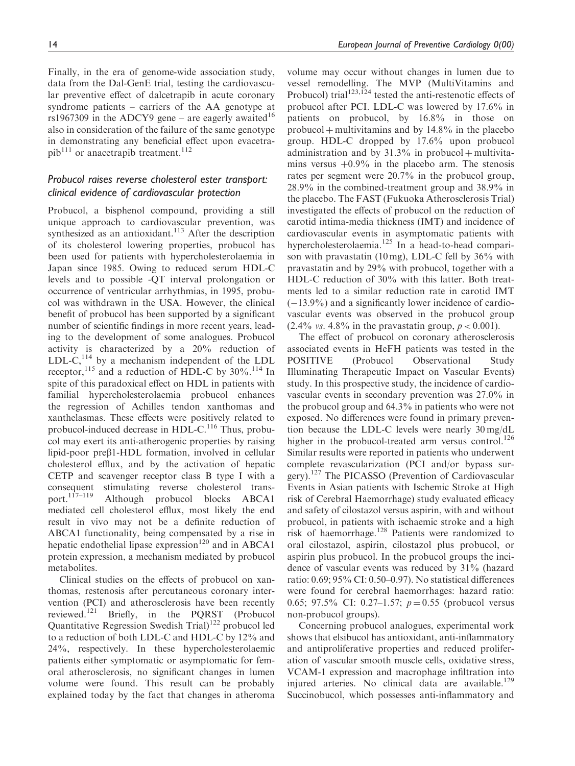Finally, in the era of genome-wide association study, data from the Dal-GenE trial, testing the cardiovascular preventive effect of dalcetrapib in acute coronary syndrome patients – carriers of the AA genotype at rs1967309 in the ADCY9 gene – are eagerly awaited<sup>16</sup> also in consideration of the failure of the same genotype in demonstrating any beneficial effect upon evacetra $pib<sup>111</sup>$  or anacetrapib treatment.<sup>112</sup>

# Probucol raises reverse cholesterol ester transport: clinical evidence of cardiovascular protection

Probucol, a bisphenol compound, providing a still unique approach to cardiovascular prevention, was synthesized as an antioxidant.<sup>113</sup> After the description of its cholesterol lowering properties, probucol has been used for patients with hypercholesterolaemia in Japan since 1985. Owing to reduced serum HDL-C levels and to possible -QT interval prolongation or occurrence of ventricular arrhythmias, in 1995, probucol was withdrawn in the USA. However, the clinical benefit of probucol has been supported by a significant number of scientific findings in more recent years, leading to the development of some analogues. Probucol activity is characterized by a 20% reduction of  $LDL-C$ ,<sup>114</sup> by a mechanism independent of the  $LDL$ receptor,  $^{115}$  and a reduction of HDL-C by 30%.<sup>114</sup> In spite of this paradoxical effect on HDL in patients with familial hypercholesterolaemia probucol enhances the regression of Achilles tendon xanthomas and xanthelasmas. These effects were positively related to probucol-induced decrease in HDL-C. $^{116}$  Thus, probucol may exert its anti-atherogenic properties by raising lipid-poor  $pre\beta1-HDL$  formation, involved in cellular cholesterol efflux, and by the activation of hepatic CETP and scavenger receptor class B type I with a consequent stimulating reverse cholesterol trans-<br>port.<sup>117–119</sup> Although probucol blocks ABCA1 Although probucol blocks ABCA1 mediated cell cholesterol efflux, most likely the end result in vivo may not be a definite reduction of ABCA1 functionality, being compensated by a rise in hepatic endothelial lipase expression<sup>120</sup> and in ABCA1 protein expression, a mechanism mediated by probucol metabolites.

Clinical studies on the effects of probucol on xanthomas, restenosis after percutaneous coronary intervention (PCI) and atherosclerosis have been recently reviewed.<sup>121</sup> Briefly, in the PQRST (Probucol Quantitative Regression Swedish Trial)<sup>122</sup> probucol led to a reduction of both LDL-C and HDL-C by 12% and 24%, respectively. In these hypercholesterolaemic patients either symptomatic or asymptomatic for femoral atherosclerosis, no significant changes in lumen volume were found. This result can be probably explained today by the fact that changes in atheroma

volume may occur without changes in lumen due to vessel remodelling. The MVP (MultiVitamins and Probucol) trial<sup>123,124</sup> tested the anti-restenotic effects of probucol after PCI. LDL-C was lowered by 17.6% in patients on probucol, by 16.8% in those on probucol  $+$  multivitamins and by 14.8% in the placebo group. HDL-C dropped by 17.6% upon probucol administration and by  $31.3\%$  in probucol + multivitamins versus  $+0.9\%$  in the placebo arm. The stenosis rates per segment were 20.7% in the probucol group, 28.9% in the combined-treatment group and 38.9% in the placebo. The FAST (Fukuoka Atherosclerosis Trial) investigated the effects of probucol on the reduction of carotid intima-media thickness (IMT) and incidence of cardiovascular events in asymptomatic patients with hypercholesterolaemia.<sup>125</sup> In a head-to-head comparison with pravastatin  $(10 \text{ mg})$ , LDL-C fell by  $36\%$  with pravastatin and by 29% with probucol, together with a HDL-C reduction of 30% with this latter. Both treatments led to a similar reduction rate in carotid IMT  $(-13.9\%)$  and a significantly lower incidence of cardiovascular events was observed in the probucol group  $(2.4\% \text{ vs. } 4.8\% \text{ in the pravastatin group, } p < 0.001).$ 

The effect of probucol on coronary atherosclerosis associated events in HeFH patients was tested in the POSITIVE (Probucol Observational Study Illuminating Therapeutic Impact on Vascular Events) study. In this prospective study, the incidence of cardiovascular events in secondary prevention was 27.0% in the probucol group and 64.3% in patients who were not exposed. No differences were found in primary prevention because the LDL-C levels were nearly 30 mg/dL higher in the probucol-treated arm versus control.<sup>126</sup> Similar results were reported in patients who underwent complete revascularization (PCI and/or bypass surgery).<sup>127</sup> The PICASSO (Prevention of Cardiovascular Events in Asian patients with Ischemic Stroke at High risk of Cerebral Haemorrhage) study evaluated efficacy and safety of cilostazol versus aspirin, with and without probucol, in patients with ischaemic stroke and a high risk of haemorrhage.<sup>128</sup> Patients were randomized to oral cilostazol, aspirin, cilostazol plus probucol, or aspirin plus probucol. In the probucol groups the incidence of vascular events was reduced by 31% (hazard ratio: 0.69; 95% CI: 0.50–0.97). No statistical differences were found for cerebral haemorrhages: hazard ratio: 0.65; 97.5% CI: 0.27–1.57;  $p = 0.55$  (probucol versus non-probucol groups).

Concerning probucol analogues, experimental work shows that elsibucol has antioxidant, anti-inflammatory and antiproliferative properties and reduced proliferation of vascular smooth muscle cells, oxidative stress, VCAM-1 expression and macrophage infiltration into injured arteries. No clinical data are available.<sup>129</sup> Succinobucol, which possesses anti-inflammatory and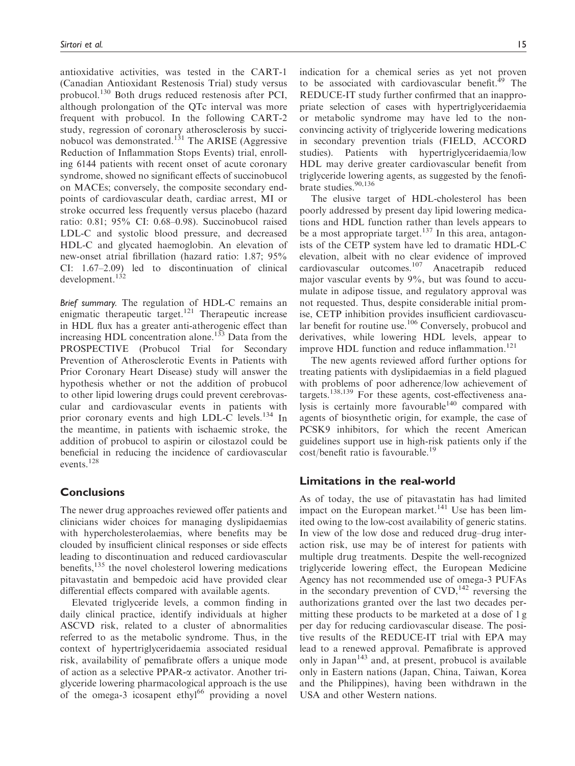antioxidative activities, was tested in the CART-1 (Canadian Antioxidant Restenosis Trial) study versus probucol.<sup>130</sup> Both drugs reduced restenosis after PCI, although prolongation of the QTc interval was more frequent with probucol. In the following CART-2 study, regression of coronary atherosclerosis by succinobucol was demonstrated.<sup>131</sup> The ARISE (Aggressive Reduction of Inflammation Stops Events) trial, enrolling 6144 patients with recent onset of acute coronary syndrome, showed no significant effects of succinobucol on MACEs; conversely, the composite secondary endpoints of cardiovascular death, cardiac arrest, MI or stroke occurred less frequently versus placebo (hazard ratio: 0.81; 95% CI: 0.68–0.98). Succinobucol raised LDL-C and systolic blood pressure, and decreased HDL-C and glycated haemoglobin. An elevation of new-onset atrial fibrillation (hazard ratio: 1.87; 95% CI: 1.67–2.09) led to discontinuation of clinical development.<sup>132</sup>

Brief summary. The regulation of HDL-C remains an enigmatic therapeutic target.<sup>121</sup> Therapeutic increase in HDL flux has a greater anti-atherogenic effect than increasing HDL concentration alone.<sup>133</sup> Data from the PROSPECTIVE (Probucol Trial for Secondary Prevention of Atherosclerotic Events in Patients with Prior Coronary Heart Disease) study will answer the hypothesis whether or not the addition of probucol to other lipid lowering drugs could prevent cerebrovascular and cardiovascular events in patients with prior coronary events and high LDL-C levels.<sup>134</sup> In the meantime, in patients with ischaemic stroke, the addition of probucol to aspirin or cilostazol could be beneficial in reducing the incidence of cardiovascular events.<sup>128</sup>

## **Conclusions**

The newer drug approaches reviewed offer patients and clinicians wider choices for managing dyslipidaemias with hypercholesterolaemias, where benefits may be clouded by insufficient clinical responses or side effects leading to discontinuation and reduced cardiovascular benefits, $135$  the novel cholesterol lowering medications pitavastatin and bempedoic acid have provided clear differential effects compared with available agents.

Elevated triglyceride levels, a common finding in daily clinical practice, identify individuals at higher ASCVD risk, related to a cluster of abnormalities referred to as the metabolic syndrome. Thus, in the context of hypertriglyceridaemia associated residual risk, availability of pemafibrate offers a unique mode of action as a selective PPAR-a activator. Another triglyceride lowering pharmacological approach is the use of the omega-3 icosapent ethyl $^{66}$  providing a novel indication for a chemical series as yet not proven to be associated with cardiovascular benefit.<sup>49</sup> The REDUCE-IT study further confirmed that an inappropriate selection of cases with hypertriglyceridaemia or metabolic syndrome may have led to the nonconvincing activity of triglyceride lowering medications in secondary prevention trials (FIELD, ACCORD studies). Patients with hypertriglyceridaemia/low HDL may derive greater cardiovascular benefit from triglyceride lowering agents, as suggested by the fenofibrate studies.90,136

The elusive target of HDL-cholesterol has been poorly addressed by present day lipid lowering medications and HDL function rather than levels appears to be a most appropriate target.<sup>137</sup> In this area, antagonists of the CETP system have led to dramatic HDL-C elevation, albeit with no clear evidence of improved cardiovascular outcomes.<sup>107</sup> Anacetrapib reduced major vascular events by 9%, but was found to accumulate in adipose tissue, and regulatory approval was not requested. Thus, despite considerable initial promise, CETP inhibition provides insufficient cardiovascular benefit for routine use.<sup>106</sup> Conversely, probucol and derivatives, while lowering HDL levels, appear to improve HDL function and reduce inflammation.<sup>121</sup>

The new agents reviewed afford further options for treating patients with dyslipidaemias in a field plagued with problems of poor adherence/low achievement of targets.138,139 For these agents, cost-effectiveness analysis is certainly more favourable $140$  compared with agents of biosynthetic origin, for example, the case of PCSK9 inhibitors, for which the recent American guidelines support use in high-risk patients only if the cost/benefit ratio is favourable.<sup>19</sup>

## Limitations in the real-world

As of today, the use of pitavastatin has had limited impact on the European market. $141$  Use has been limited owing to the low-cost availability of generic statins. In view of the low dose and reduced drug–drug interaction risk, use may be of interest for patients with multiple drug treatments. Despite the well-recognized triglyceride lowering effect, the European Medicine Agency has not recommended use of omega-3 PUFAs in the secondary prevention of  $CVD$ ,<sup>142</sup> reversing the authorizations granted over the last two decades permitting these products to be marketed at a dose of 1 g per day for reducing cardiovascular disease. The positive results of the REDUCE-IT trial with EPA may lead to a renewed approval. Pemafibrate is approved only in Japan $143$  and, at present, probucol is available only in Eastern nations (Japan, China, Taiwan, Korea and the Philippines), having been withdrawn in the USA and other Western nations.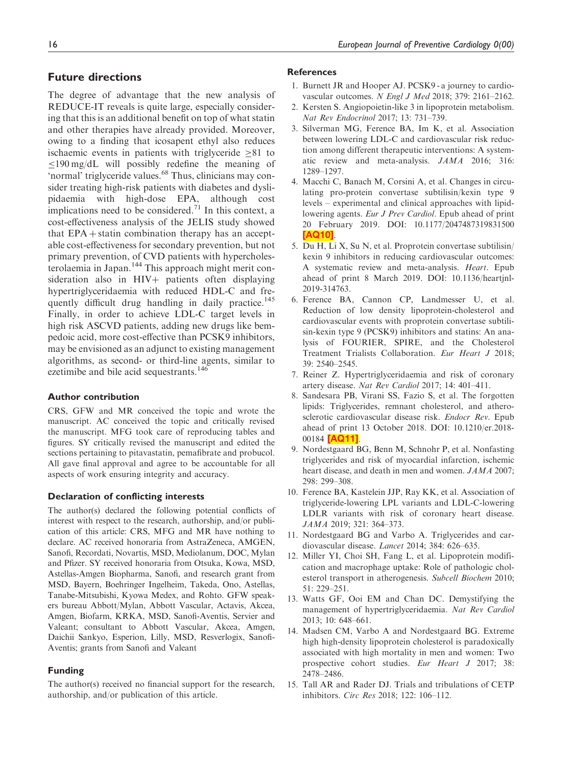## <span id="page-17-0"></span>Future directions

The degree of advantage that the new analysis of REDUCE-IT reveals is quite large, especially considering that this is an additional benefit on top of what statin and other therapies have already provided. Moreover, owing to a finding that icosapent ethyl also reduces ischaemic events in patients with triglyceride  $>81$  to  $\leq$ 190 mg/dL will possibly redefine the meaning of 'normal' triglyceride values.<sup>68</sup> Thus, clinicians may consider treating high-risk patients with diabetes and dyslipidaemia with high-dose EPA, although cost implications need to be considered.<sup>71</sup> In this context, a cost-effectiveness analysis of the JELIS study showed that  $EPA +$  statin combination therapy has an acceptable cost-effectiveness for secondary prevention, but not primary prevention, of CVD patients with hypercholesterolaemia in Japan.<sup>144</sup> This approach might merit consideration also in  $HIV+$  patients often displaying hypertriglyceridaemia with reduced HDL-C and frequently difficult drug handling in daily practice.<sup>145</sup> Finally, in order to achieve LDL-C target levels in high risk ASCVD patients, adding new drugs like bempedoic acid, more cost-effective than PCSK9 inhibitors, may be envisioned as an adjunct to existing management algorithms, as second- or third-line agents, similar to ezetimibe and bile acid sequestrants.<sup>146</sup>

### Author contribution

CRS, GFW and MR conceived the topic and wrote the manuscript. AC conceived the topic and critically revised the manuscript. MFG took care of reproducing tables and figures. SY critically revised the manuscript and edited the sections pertaining to pitavastatin, pemafibrate and probucol. All gave final approval and agree to be accountable for all aspects of work ensuring integrity and accuracy.

#### Declaration of conflicting interests

The author(s) declared the following potential conflicts of interest with respect to the research, authorship, and/or publication of this article: CRS, MFG and MR have nothing to declare. AC received honoraria from AstraZeneca, AMGEN, Sanofi, Recordati, Novartis, MSD, Mediolanum, DOC, Mylan and Pfizer. SY received honoraria from Otsuka, Kowa, MSD, Astellas-Amgen Biopharma, Sanofi, and research grant from MSD, Bayern, Boehringer Ingelheim, Takeda, Ono, Astellas, Tanabe-Mitsubishi, Kyowa Medex, and Rohto. GFW speakers bureau Abbott/Mylan, Abbott Vascular, Actavis, Akcea, Amgen, Biofarm, KRKA, MSD, Sanofi-Aventis, Servier and Valeant; consultant to Abbott Vascular, Akcea, Amgen, Daichii Sankyo, Esperion, Lilly, MSD, Resverlogix, Sanofi-Aventis; grants from Sanofi and Valeant

#### Funding

The author(s) received no financial support for the research, authorship, and/or publication of this article.

## **References**

- 1. Burnett JR and Hooper AJ. PCSK9 a journey to cardiovascular outcomes. N Engl J Med 2018; 379: 2161–2162.
- 2. Kersten S. Angiopoietin-like 3 in lipoprotein metabolism. Nat Rev Endocrinol 2017; 13: 731–739.
- 3. Silverman MG, Ference BA, Im K, et al. Association between lowering LDL-C and cardiovascular risk reduction among different therapeutic interventions: A systematic review and meta-analysis. JAMA 2016; 316: 1289–1297.
- 4. Macchi C, Banach M, Corsini A, et al. Changes in circulating pro-protein convertase subtilisin/kexin type 9 levels – experimental and clinical approaches with lipidlowering agents. Eur J Prev Cardiol. Epub ahead of print 20 February 2019. DOI: 10.1177/2047487319831500 [\[AQ10\]](#page-0-0).
- 5. Du H, Li X, Su N, et al. Proprotein convertase subtilisin/ kexin 9 inhibitors in reducing cardiovascular outcomes: A systematic review and meta-analysis. Heart. Epub ahead of print 8 March 2019. DOI: 10.1136/heartjnl-2019-314763.
- 6. Ference BA, Cannon CP, Landmesser U, et al. Reduction of low density lipoprotein-cholesterol and cardiovascular events with proprotein convertase subtilisin-kexin type 9 (PCSK9) inhibitors and statins: An analysis of FOURIER, SPIRE, and the Cholesterol Treatment Trialists Collaboration. Eur Heart J 2018; 39: 2540–2545.
- 7. Reiner Z. Hypertriglyceridaemia and risk of coronary artery disease. Nat Rev Cardiol 2017; 14: 401–411.
- 8. Sandesara PB, Virani SS, Fazio S, et al. The forgotten lipids: Triglycerides, remnant cholesterol, and atherosclerotic cardiovascular disease risk. Endocr Rev. Epub ahead of print 13 October 2018. DOI: 10.1210/er.2018- 00184 **[\[AQ11\]](#page-0-0)**
- 9. Nordestgaard BG, Benn M, Schnohr P, et al. Nonfasting triglycerides and risk of myocardial infarction, ischemic heart disease, and death in men and women. JAMA 2007; 298: 299–308.
- 10. Ference BA, Kastelein JJP, Ray KK, et al. Association of triglyceride-lowering LPL variants and LDL-C-lowering LDLR variants with risk of coronary heart disease. JAMA 2019; 321: 364–373.
- 11. Nordestgaard BG and Varbo A. Triglycerides and cardiovascular disease. Lancet 2014; 384: 626–635.
- 12. Miller YI, Choi SH, Fang L, et al. Lipoprotein modification and macrophage uptake: Role of pathologic cholesterol transport in atherogenesis. Subcell Biochem 2010; 51: 229–251.
- 13. Watts GF, Ooi EM and Chan DC. Demystifying the management of hypertriglyceridaemia. Nat Rev Cardiol 2013; 10: 648–661.
- 14. Madsen CM, Varbo A and Nordestgaard BG. Extreme high high-density lipoprotein cholesterol is paradoxically associated with high mortality in men and women: Two prospective cohort studies. Eur Heart J 2017; 38: 2478–2486.
- 15. Tall AR and Rader DJ. Trials and tribulations of CETP inhibitors. Circ Res 2018; 122: 106–112.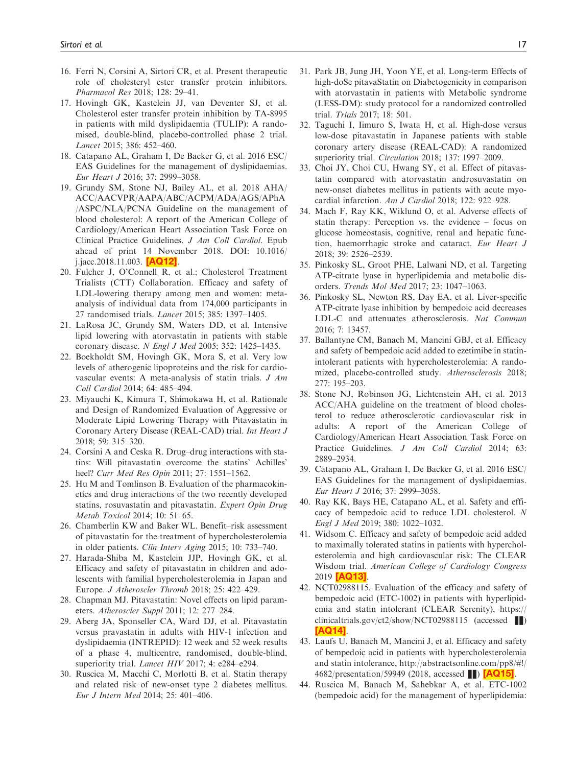- <span id="page-18-0"></span>16. Ferri N, Corsini A, Sirtori CR, et al. Present therapeutic role of cholesteryl ester transfer protein inhibitors. Pharmacol Res 2018; 128: 29–41.
- 17. Hovingh GK, Kastelein JJ, van Deventer SJ, et al. Cholesterol ester transfer protein inhibition by TA-8995 in patients with mild dyslipidaemia (TULIP): A randomised, double-blind, placebo-controlled phase 2 trial. Lancet 2015; 386: 452–460.
- 18. Catapano AL, Graham I, De Backer G, et al. 2016 ESC/ EAS Guidelines for the management of dyslipidaemias. Eur Heart J 2016; 37: 2999–3058.
- 19. Grundy SM, Stone NJ, Bailey AL, et al. 2018 AHA/ ACC/AACVPR/AAPA/ABC/ACPM/ADA/AGS/APhA /ASPC/NLA/PCNA Guideline on the management of blood cholesterol: A report of the American College of Cardiology/American Heart Association Task Force on Clinical Practice Guidelines. J Am Coll Cardiol. Epub ahead of print 14 November 2018. DOI: 10.1016/ j.jacc.2018.11.003. [\[AQ12\]](#page-0-0).
- 20. Fulcher J, O'Connell R, et al.; Cholesterol Treatment Trialists (CTT) Collaboration. Efficacy and safety of LDL-lowering therapy among men and women: metaanalysis of individual data from 174,000 participants in 27 randomised trials. Lancet 2015; 385: 1397–1405.
- 21. LaRosa JC, Grundy SM, Waters DD, et al. Intensive lipid lowering with atorvastatin in patients with stable coronary disease. N Engl J Med 2005; 352: 1425–1435.
- 22. Boekholdt SM, Hovingh GK, Mora S, et al. Very low levels of atherogenic lipoproteins and the risk for cardiovascular events: A meta-analysis of statin trials. J Am Coll Cardiol 2014; 64: 485–494.
- 23. Miyauchi K, Kimura T, Shimokawa H, et al. Rationale and Design of Randomized Evaluation of Aggressive or Moderate Lipid Lowering Therapy with Pitavastatin in Coronary Artery Disease (REAL-CAD) trial. Int Heart J 2018; 59: 315–320.
- 24. Corsini A and Ceska R. Drug–drug interactions with statins: Will pitavastatin overcome the statins' Achilles' heel? Curr Med Res Opin 2011; 27: 1551–1562.
- 25. Hu M and Tomlinson B. Evaluation of the pharmacokinetics and drug interactions of the two recently developed statins, rosuvastatin and pitavastatin. Expert Opin Drug Metab Toxicol 2014; 10: 51–65.
- 26. Chamberlin KW and Baker WL. Benefit–risk assessment of pitavastatin for the treatment of hypercholesterolemia in older patients. Clin Interv Aging 2015; 10: 733–740.
- 27. Harada-Shiba M, Kastelein JJP, Hovingh GK, et al. Efficacy and safety of pitavastatin in children and adolescents with familial hypercholesterolemia in Japan and Europe. J Atheroscler Thromb 2018; 25: 422–429.
- 28. Chapman MJ. Pitavastatin: Novel effects on lipid parameters. Atheroscler Suppl 2011; 12: 277–284.
- 29. Aberg JA, Sponseller CA, Ward DJ, et al. Pitavastatin versus pravastatin in adults with HIV-1 infection and dyslipidaemia (INTREPID): 12 week and 52 week results of a phase 4, multicentre, randomised, double-blind, superiority trial. Lancet HIV 2017; 4: e284-e294.
- 30. Ruscica M, Macchi C, Morlotti B, et al. Statin therapy and related risk of new-onset type 2 diabetes mellitus. Eur J Intern Med 2014; 25: 401–406.
- 31. Park JB, Jung JH, Yoon YE, et al. Long-term Effects of high-doSe pitavaStatin on Diabetogenicity in comparison with atorvastatin in patients with Metabolic syndrome (LESS-DM): study protocol for a randomized controlled trial. Trials 2017; 18: 501.
- 32. Taguchi I, Iimuro S, Iwata H, et al. High-dose versus low-dose pitavastatin in Japanese patients with stable coronary artery disease (REAL-CAD): A randomized superiority trial. Circulation 2018; 137: 1997-2009.
- 33. Choi JY, Choi CU, Hwang SY, et al. Effect of pitavastatin compared with atorvastatin androsuvastatin on new-onset diabetes mellitus in patients with acute myocardial infarction. Am J Cardiol 2018; 122: 922–928.
- 34. Mach F, Ray KK, Wiklund O, et al. Adverse effects of statin therapy: Perception vs. the evidence – focus on glucose homeostasis, cognitive, renal and hepatic function, haemorrhagic stroke and cataract. Eur Heart J 2018; 39: 2526–2539.
- 35. Pinkosky SL, Groot PHE, Lalwani ND, et al. Targeting ATP-citrate lyase in hyperlipidemia and metabolic disorders. Trends Mol Med 2017; 23: 1047–1063.
- 36. Pinkosky SL, Newton RS, Day EA, et al. Liver-specific ATP-citrate lyase inhibition by bempedoic acid decreases LDL-C and attenuates atherosclerosis. Nat Commun 2016; 7: 13457.
- 37. Ballantyne CM, Banach M, Mancini GBJ, et al. Efficacy and safety of bempedoic acid added to ezetimibe in statinintolerant patients with hypercholesterolemia: A randomized, placebo-controlled study. Atherosclerosis 2018; 277: 195–203.
- 38. Stone NJ, Robinson JG, Lichtenstein AH, et al. 2013 ACC/AHA guideline on the treatment of blood cholesterol to reduce atherosclerotic cardiovascular risk in adults: A report of the American College of Cardiology/American Heart Association Task Force on Practice Guidelines. J Am Coll Cardiol 2014; 63: 2889–2934.
- 39. Catapano AL, Graham I, De Backer G, et al. 2016 ESC/ EAS Guidelines for the management of dyslipidaemias. Eur Heart J 2016; 37: 2999–3058.
- 40. Ray KK, Bays HE, Catapano AL, et al. Safety and efficacy of bempedoic acid to reduce LDL cholesterol. N Engl J Med 2019; 380: 1022–1032.
- 41. Widsom C. Efficacy and safety of bempedoic acid added to maximally tolerated statins in patients with hypercholesterolemia and high cardiovascular risk: The CLEAR Wisdom trial. American College of Cardiology Congress 2019 **[\[AQ13\]](#page-1-0)**
- 42. NCT02988115. Evaluation of the efficacy and safety of bempedoic acid (ETC-1002) in patients with hyperlipidemia and statin intolerant (CLEAR Serenity), [https://](https://clinicaltrials.gov/ct2/show/NCT02988115) [clinicaltrials.gov/ct2/show/NCT02988115](https://clinicaltrials.gov/ct2/show/NCT02988115) (accessed  $\blacksquare$ ) [\[AQ14\]](#page-1-0).
- 43. Laufs U, Banach M, Mancini J, et al. Efficacy and safety of bempedoic acid in patients with hypercholesterolemia and statin intolerance,<http://abstractsonline.com/pp8/#>!/ 4682/presentation/59949 (2018, accessed **1) [\[AQ15\]](#page-1-0)**.
- 44. Ruscica M, Banach M, Sahebkar A, et al. ETC-1002 (bempedoic acid) for the management of hyperlipidemia: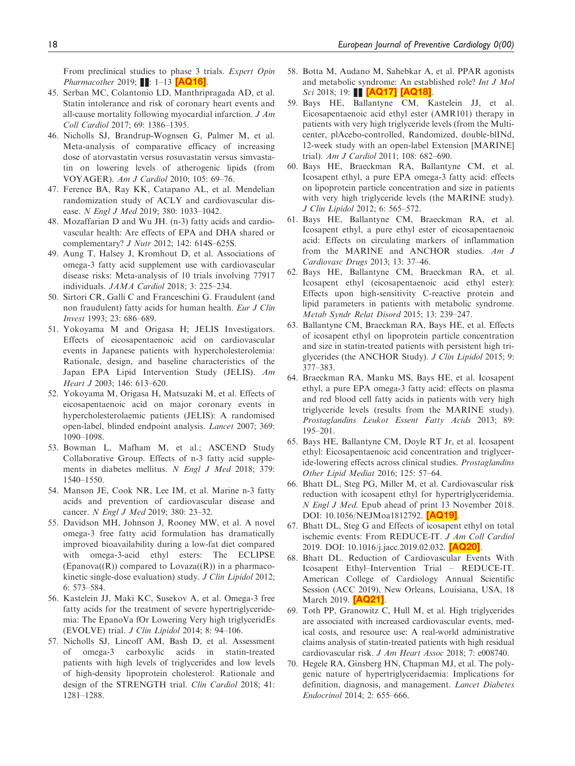<span id="page-19-0"></span>From preclinical studies to phase 3 trials. Expert Opin Pharmacother 2019;  $\blacksquare$ : 1–13  $[AQ16]$ .

- 45. Serban MC, Colantonio LD, Manthripragada AD, et al. Statin intolerance and risk of coronary heart events and all-cause mortality following myocardial infarction. J Am Coll Cardiol 2017; 69: 1386–1395.
- 46. Nicholls SJ, Brandrup-Wognsen G, Palmer M, et al. Meta-analysis of comparative efficacy of increasing dose of atorvastatin versus rosuvastatin versus simvastatin on lowering levels of atherogenic lipids (from VOYAGER). Am J Cardiol 2010; 105: 69–76.
- 47. Ference BA, Ray KK, Catapano AL, et al. Mendelian randomization study of ACLY and cardiovascular disease. N Engl J Med 2019; 380: 1033–1042.
- 48. Mozaffarian D and Wu JH. (n-3) fatty acids and cardiovascular health: Are effects of EPA and DHA shared or complementary? *J Nutr* 2012; 142: 614S-625S.
- 49. Aung T, Halsey J, Kromhout D, et al. Associations of omega-3 fatty acid supplement use with cardiovascular disease risks: Meta-analysis of 10 trials involving 77917 individuals. JAMA Cardiol 2018; 3: 225–234.
- 50. Sirtori CR, Galli C and Franceschini G. Fraudulent (and non fraudulent) fatty acids for human health. Eur J Clin Invest 1993; 23: 686–689.
- 51. Yokoyama M and Origasa H; JELIS Investigators. Effects of eicosapentaenoic acid on cardiovascular events in Japanese patients with hypercholesterolemia: Rationale, design, and baseline characteristics of the Japan EPA Lipid Intervention Study (JELIS). Am Heart J 2003; 146: 613–620.
- 52. Yokoyama M, Origasa H, Matsuzaki M, et al. Effects of eicosapentaenoic acid on major coronary events in hypercholesterolaemic patients (JELIS): A randomised open-label, blinded endpoint analysis. Lancet 2007; 369: 1090–1098.
- 53. Bowman L, Mafham M, et al.; ASCEND Study Collaborative Group. Effects of n-3 fatty acid supplements in diabetes mellitus. N Engl J Med 2018; 379: 1540–1550.
- 54. Manson JE, Cook NR, Lee IM, et al. Marine n-3 fatty acids and prevention of cardiovascular disease and cancer. N Engl J Med 2019; 380: 23–32.
- 55. Davidson MH, Johnson J, Rooney MW, et al. A novel omega-3 free fatty acid formulation has dramatically improved bioavailability during a low-fat diet compared with omega-3-acid ethyl esters: The ECLIPSE  $E$ panova $((R))$  compared to Lovaza $((R))$  in a pharmacokinetic single-dose evaluation) study. J Clin Lipidol 2012; 6: 573–584.
- 56. Kastelein JJ, Maki KC, Susekov A, et al. Omega-3 free fatty acids for the treatment of severe hypertriglyceridemia: The EpanoVa fOr Lowering Very high triglyceridEs (EVOLVE) trial. J Clin Lipidol 2014; 8: 94–106.
- 57. Nicholls SJ, Lincoff AM, Bash D, et al. Assessment of omega-3 carboxylic acids in statin-treated patients with high levels of triglycerides and low levels of high-density lipoprotein cholesterol: Rationale and design of the STRENGTH trial. Clin Cardiol 2018; 41: 1281–1288.
- 58. Botta M, Audano M, Sahebkar A, et al. PPAR agonists and metabolic syndrome: An established role? Int J Mol Sci 2018; 19: **[\[AQ17\]](#page-1-0) [\[AQ18\]](#page-1-0)**
- 59. Bays HE, Ballantyne CM, Kastelein JJ, et al. Eicosapentaenoic acid ethyl ester (AMR101) therapy in patients with very high triglyceride levels (from the Multicenter, plAcebo-controlled, Randomized, double-blINd, 12-week study with an open-label Extension [MARINE] trial). Am J Cardiol 2011; 108: 682–690.
- 60. Bays HE, Braeckman RA, Ballantyne CM, et al. Icosapent ethyl, a pure EPA omega-3 fatty acid: effects on lipoprotein particle concentration and size in patients with very high triglyceride levels (the MARINE study). J Clin Lipidol 2012; 6: 565–572.
- 61. Bays HE, Ballantyne CM, Braeckman RA, et al. Icosapent ethyl, a pure ethyl ester of eicosapentaenoic acid: Effects on circulating markers of inflammation from the MARINE and ANCHOR studies. Am J Cardiovasc Drugs 2013; 13: 37–46.
- 62. Bays HE, Ballantyne CM, Braeckman RA, et al. Icosapent ethyl (eicosapentaenoic acid ethyl ester): Effects upon high-sensitivity C-reactive protein and lipid parameters in patients with metabolic syndrome. Metab Syndr Relat Disord 2015; 13: 239–247.
- 63. Ballantyne CM, Braeckman RA, Bays HE, et al. Effects of icosapent ethyl on lipoprotein particle concentration and size in statin-treated patients with persistent high triglycerides (the ANCHOR Study). J Clin Lipidol 2015; 9: 377–383.
- 64. Braeckman RA, Manku MS, Bays HE, et al. Icosapent ethyl, a pure EPA omega-3 fatty acid: effects on plasma and red blood cell fatty acids in patients with very high triglyceride levels (results from the MARINE study). Prostaglandins Leukot Essent Fatty Acids 2013; 89: 195–201.
- 65. Bays HE, Ballantyne CM, Doyle RT Jr, et al. Icosapent ethyl: Eicosapentaenoic acid concentration and triglyceride-lowering effects across clinical studies. Prostaglandins Other Lipid Mediat 2016; 125: 57–64.
- 66. Bhatt DL, Steg PG, Miller M, et al. Cardiovascular risk reduction with icosapent ethyl for hypertriglyceridemia. N Engl J Med. Epub ahead of print 13 November 2018. DOI: 10.1056/NEJMoa1812792. [\[AQ19\]](#page-1-0).
- 67. Bhatt DL, Steg G and Effects of icosapent ethyl on total ischemic events: From REDUCE-IT. J Am Coll Cardiol 2019. DOI: 10.1016/j.jacc.2019.02.032. [\[AQ20\]](#page-1-0).
- 68. Bhatt DL. Reduction of Cardiovascular Events With Icosapent Ethyl–Intervention Trial – REDUCE-IT. American College of Cardiology Annual Scientific Session (ACC 2019), New Orleans, Louisiana, USA, 18 March 2019. **[\[AQ21\]](#page-1-0)**.
- 69. Toth PP, Granowitz C, Hull M, et al. High triglycerides are associated with increased cardiovascular events, medical costs, and resource use: A real-world administrative claims analysis of statin-treated patients with high residual cardiovascular risk. J Am Heart Assoc 2018; 7: e008740.
- 70. Hegele RA, Ginsberg HN, Chapman MJ, et al. The polygenic nature of hypertriglyceridaemia: Implications for definition, diagnosis, and management. Lancet Diabetes Endocrinol 2014; 2: 655–666.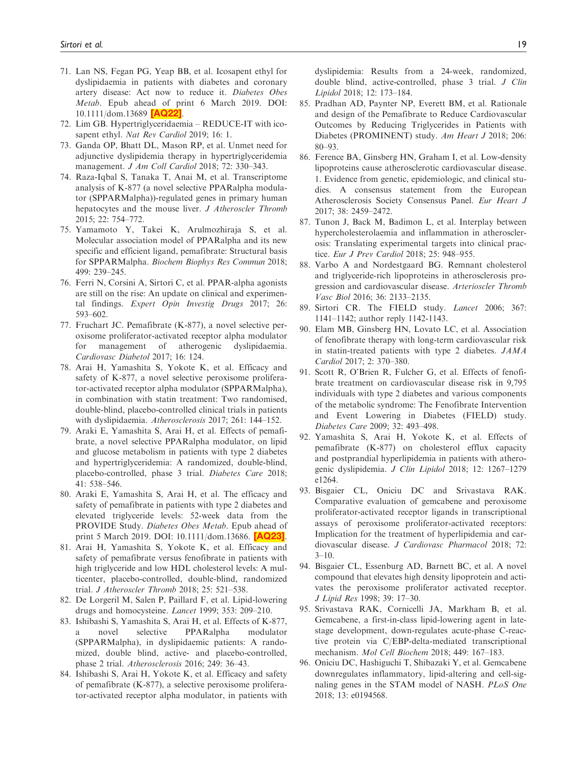- <span id="page-20-0"></span>71. Lan NS, Fegan PG, Yeap BB, et al. Icosapent ethyl for dyslipidaemia in patients with diabetes and coronary artery disease: Act now to reduce it. Diabetes Obes Metab. Epub ahead of print 6 March 2019. DOI: 10.1111/dom.13689 [\[AQ22\]](#page-1-0).
- 72. Lim GB. Hypertriglyceridaemia REDUCE-IT with icosapent ethyl. Nat Rev Cardiol 2019; 16: 1.
- 73. Ganda OP, Bhatt DL, Mason RP, et al. Unmet need for adjunctive dyslipidemia therapy in hypertriglyceridemia management. J Am Coll Cardiol 2018; 72: 330–343.
- 74. Raza-Iqbal S, Tanaka T, Anai M, et al. Transcriptome analysis of K-877 (a novel selective PPARalpha modulator (SPPARMalpha))-regulated genes in primary human hepatocytes and the mouse liver. J Atheroscler Thromb 2015; 22: 754–772.
- 75. Yamamoto Y, Takei K, Arulmozhiraja S, et al. Molecular association model of PPARalpha and its new specific and efficient ligand, pemafibrate: Structural basis for SPPARMalpha. Biochem Biophys Res Commun 2018; 499: 239–245.
- 76. Ferri N, Corsini A, Sirtori C, et al. PPAR-alpha agonists are still on the rise: An update on clinical and experimental findings. Expert Opin Investig Drugs 2017; 26: 593–602.
- 77. Fruchart JC. Pemafibrate (K-877), a novel selective peroxisome proliferator-activated receptor alpha modulator for management of atherogenic dyslipidaemia. Cardiovasc Diabetol 2017; 16: 124.
- 78. Arai H, Yamashita S, Yokote K, et al. Efficacy and safety of K-877, a novel selective peroxisome proliferator-activated receptor alpha modulator (SPPARMalpha), in combination with statin treatment: Two randomised, double-blind, placebo-controlled clinical trials in patients with dyslipidaemia. Atherosclerosis 2017; 261: 144–152.
- 79. Araki E, Yamashita S, Arai H, et al. Effects of pemafibrate, a novel selective PPARalpha modulator, on lipid and glucose metabolism in patients with type 2 diabetes and hypertriglyceridemia: A randomized, double-blind, placebo-controlled, phase 3 trial. Diabetes Care 2018; 41: 538–546.
- 80. Araki E, Yamashita S, Arai H, et al. The efficacy and safety of pemafibrate in patients with type 2 diabetes and elevated triglyceride levels: 52-week data from the PROVIDE Study. Diabetes Obes Metab. Epub ahead of print 5 March 2019. DOI: 10.1111/dom.13686. **[\[AQ23\]](#page-1-0)**.
- 81. Arai H, Yamashita S, Yokote K, et al. Efficacy and safety of pemafibrate versus fenofibrate in patients with high triglyceride and low HDL cholesterol levels: A multicenter, placebo-controlled, double-blind, randomized trial. J Atheroscler Thromb 2018; 25: 521–538.
- 82. De Lorgeril M, Salen P, Paillard F, et al. Lipid-lowering drugs and homocysteine. Lancet 1999; 353: 209–210.
- 83. Ishibashi S, Yamashita S, Arai H, et al. Effects of K-877, novel selective PPARalpha modulator (SPPARMalpha), in dyslipidaemic patients: A randomized, double blind, active- and placebo-controlled, phase 2 trial. Atherosclerosis 2016; 249: 36–43.
- 84. Ishibashi S, Arai H, Yokote K, et al. Efficacy and safety of pemafibrate (K-877), a selective peroxisome proliferator-activated receptor alpha modulator, in patients with

dyslipidemia: Results from a 24-week, randomized, double blind, active-controlled, phase 3 trial. J Clin Lipidol 2018; 12: 173–184.

- 85. Pradhan AD, Paynter NP, Everett BM, et al. Rationale and design of the Pemafibrate to Reduce Cardiovascular Outcomes by Reducing Triglycerides in Patients with Diabetes (PROMINENT) study. Am Heart J 2018; 206: 80–93.
- 86. Ference BA, Ginsberg HN, Graham I, et al. Low-density lipoproteins cause atherosclerotic cardiovascular disease. 1. Evidence from genetic, epidemiologic, and clinical studies. A consensus statement from the European Atherosclerosis Society Consensus Panel. Eur Heart J 2017; 38: 2459–2472.
- 87. Tunon J, Back M, Badimon L, et al. Interplay between hypercholesterolaemia and inflammation in atherosclerosis: Translating experimental targets into clinical practice. Eur J Prev Cardiol 2018; 25: 948–955.
- 88. Varbo A and Nordestgaard BG. Remnant cholesterol and triglyceride-rich lipoproteins in atherosclerosis progression and cardiovascular disease. Arterioscler Thromb Vasc Biol 2016; 36: 2133–2135.
- 89. Sirtori CR. The FIELD study. Lancet 2006; 367: 1141–1142; author reply 1142-1143.
- 90. Elam MB, Ginsberg HN, Lovato LC, et al. Association of fenofibrate therapy with long-term cardiovascular risk in statin-treated patients with type 2 diabetes. JAMA Cardiol 2017; 2: 370–380.
- 91. Scott R, O'Brien R, Fulcher G, et al. Effects of fenofibrate treatment on cardiovascular disease risk in 9,795 individuals with type 2 diabetes and various components of the metabolic syndrome: The Fenofibrate Intervention and Event Lowering in Diabetes (FIELD) study. Diabetes Care 2009; 32: 493–498.
- 92. Yamashita S, Arai H, Yokote K, et al. Effects of pemafibrate (K-877) on cholesterol efflux capacity and postprandial hyperlipidemia in patients with atherogenic dyslipidemia. J Clin Lipidol 2018; 12: 1267–1279 e1264.
- 93. Bisgaier CL, Oniciu DC and Srivastava RAK. Comparative evaluation of gemcabene and peroxisome proliferator-activated receptor ligands in transcriptional assays of peroxisome proliferator-activated receptors: Implication for the treatment of hyperlipidemia and cardiovascular disease. J Cardiovasc Pharmacol 2018; 72:  $3 - 10.$
- 94. Bisgaier CL, Essenburg AD, Barnett BC, et al. A novel compound that elevates high density lipoprotein and activates the peroxisome proliferator activated receptor. J Lipid Res 1998; 39: 17–30.
- 95. Srivastava RAK, Cornicelli JA, Markham B, et al. Gemcabene, a first-in-class lipid-lowering agent in latestage development, down-regulates acute-phase C-reactive protein via C/EBP-delta-mediated transcriptional mechanism. Mol Cell Biochem 2018; 449: 167–183.
- 96. Oniciu DC, Hashiguchi T, Shibazaki Y, et al. Gemcabene downregulates inflammatory, lipid-altering and cell-signaling genes in the STAM model of NASH. PLoS One 2018; 13: e0194568.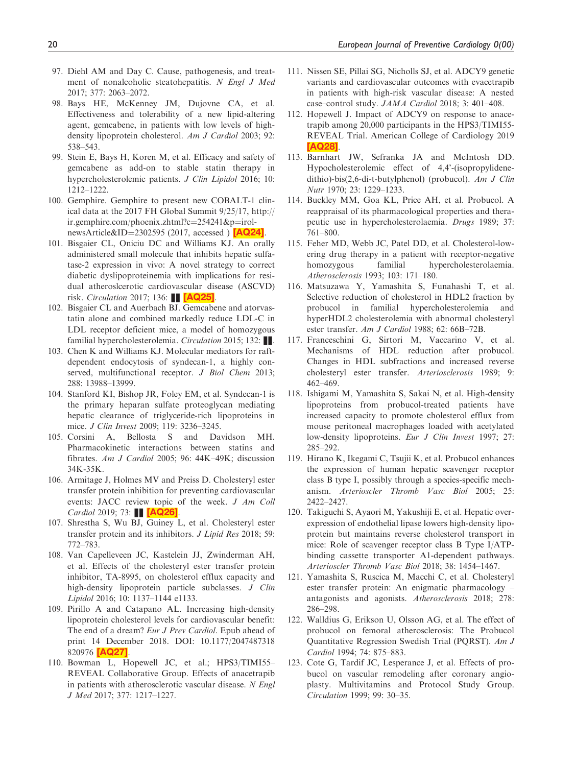- <span id="page-21-0"></span>97. Diehl AM and Day C. Cause, pathogenesis, and treatment of nonalcoholic steatohepatitis. N Engl J Med 2017; 377: 2063–2072.
- 98. Bays HE, McKenney JM, Dujovne CA, et al. Effectiveness and tolerability of a new lipid-altering agent, gemcabene, in patients with low levels of highdensity lipoprotein cholesterol. Am J Cardiol 2003; 92: 538–543.
- 99. Stein E, Bays H, Koren M, et al. Efficacy and safety of gemcabene as add-on to stable statin therapy in hypercholesterolemic patients. J Clin Lipidol 2016; 10: 1212–1222.
- 100. Gemphire. Gemphire to present new COBALT-1 clinical data at the 2017 FH Global Summit 9/25/17, [http://](http://ir.gemphire.com/phoenix.zhtml?c254241&pirol-newsArticle&ID2302595) [ir.gemphire.com/phoenix.zhtml?c](http://ir.gemphire.com/phoenix.zhtml?c254241&pirol-newsArticle&ID2302595)=[254241&p](http://ir.gemphire.com/phoenix.zhtml?c254241&pirol-newsArticle&ID2302595)=[irol](http://ir.gemphire.com/phoenix.zhtml?c254241&pirol-newsArticle&ID2302595)[newsArticle&ID](http://ir.gemphire.com/phoenix.zhtml?c254241&pirol-newsArticle&ID2302595)= $2302595$  (2017, accessed) [\[AQ24\]](#page-1-0).
- 101. Bisgaier CL, Oniciu DC and Williams KJ. An orally administered small molecule that inhibits hepatic sulfatase-2 expression in vivo: A novel strategy to correct diabetic dyslipoproteinemia with implications for residual atheroslcerotic cardiovascular disease (ASCVD) risk. Circulation 2017; 136: **[\[AQ25\]](#page-1-0)**.
- 102. Bisgaier CL and Auerbach BJ. Gemcabene and atorvastatin alone and combined markedly reduce LDL-C in LDL receptor deficient mice, a model of homozygous familial hypercholesterolemia. Circulation 2015; 132:  $\blacksquare$ .
- 103. Chen K and Williams KJ. Molecular mediators for raftdependent endocytosis of syndecan-1, a highly conserved, multifunctional receptor. *J Biol Chem 2013*; 288: 13988–13999.
- 104. Stanford KI, Bishop JR, Foley EM, et al. Syndecan-1 is the primary heparan sulfate proteoglycan mediating hepatic clearance of triglyceride-rich lipoproteins in mice. J Clin Invest 2009; 119: 3236–3245.
- 105. Corsini A, Bellosta S and Davidson MH. Pharmacokinetic interactions between statins and fibrates. Am J Cardiol 2005; 96: 44K–49K; discussion 34K-35K.
- 106. Armitage J, Holmes MV and Preiss D. Cholesteryl ester transfer protein inhibition for preventing cardiovascular events: JACC review topic of the week. J Am Coll *Cardiol* 2019; 73:  $\blacksquare$  [\[AQ26\]](#page-1-0).
- 107. Shrestha S, Wu BJ, Guiney L, et al. Cholesteryl ester transfer protein and its inhibitors. J Lipid Res 2018; 59: 772–783.
- 108. Van Capelleveen JC, Kastelein JJ, Zwinderman AH, et al. Effects of the cholesteryl ester transfer protein inhibitor, TA-8995, on cholesterol efflux capacity and high-density lipoprotein particle subclasses. J Clin Lipidol 2016; 10: 1137–1144 e1133.
- 109. Pirillo A and Catapano AL. Increasing high-density lipoprotein cholesterol levels for cardiovascular benefit: The end of a dream? Eur J Prev Cardiol. Epub ahead of print 14 December 2018. DOI: 10.1177/2047487318 820976 [\[AQ27\]](#page-1-0).
- 110. Bowman L, Hopewell JC, et al.; HPS3/TIMI55– REVEAL Collaborative Group. Effects of anacetrapib in patients with atherosclerotic vascular disease. N Engl J Med 2017; 377: 1217–1227.
- 111. Nissen SE, Pillai SG, Nicholls SJ, et al. ADCY9 genetic variants and cardiovascular outcomes with evacetrapib in patients with high-risk vascular disease: A nested case–control study. JAMA Cardiol 2018; 3: 401–408.
- 112. Hopewell J. Impact of ADCY9 on response to anacetrapib among 20,000 participants in the HPS3/TIMI55- REVEAL Trial. American College of Cardiology 2019 [\[AQ28\]](#page-1-0).
- 113. Barnhart JW, Sefranka JA and McIntosh DD. Hypocholesterolemic effect of 4,4'-(isopropylidenedithio)-bis(2,6-di-t-butylphenol) (probucol). Am J Clin Nutr 1970; 23: 1229–1233.
- 114. Buckley MM, Goa KL, Price AH, et al. Probucol. A reappraisal of its pharmacological properties and therapeutic use in hypercholesterolaemia. Drugs 1989; 37: 761–800.
- 115. Feher MD, Webb JC, Patel DD, et al. Cholesterol-lowering drug therapy in a patient with receptor-negative homozygous familial hypercholesterolaemia. Atherosclerosis 1993; 103: 171–180.
- 116. Matsuzawa Y, Yamashita S, Funahashi T, et al. Selective reduction of cholesterol in HDL2 fraction by probucol in familial hypercholesterolemia and hyperHDL2 cholesterolemia with abnormal cholesteryl ester transfer. Am J Cardiol 1988; 62: 66B–72B.
- 117. Franceschini G, Sirtori M, Vaccarino V, et al. Mechanisms of HDL reduction after probucol. Changes in HDL subfractions and increased reverse cholesteryl ester transfer. Arteriosclerosis 1989; 9: 462–469.
- 118. Ishigami M, Yamashita S, Sakai N, et al. High-density lipoproteins from probucol-treated patients have increased capacity to promote cholesterol efflux from mouse peritoneal macrophages loaded with acetylated low-density lipoproteins. Eur J Clin Invest 1997; 27: 285–292.
- 119. Hirano K, Ikegami C, Tsujii K, et al. Probucol enhances the expression of human hepatic scavenger receptor class B type I, possibly through a species-specific mechanism. Arterioscler Thromb Vasc Biol 2005; 25: 2422–2427.
- 120. Takiguchi S, Ayaori M, Yakushiji E, et al. Hepatic overexpression of endothelial lipase lowers high-density lipoprotein but maintains reverse cholesterol transport in mice: Role of scavenger receptor class B Type I/ATPbinding cassette transporter A1-dependent pathways. Arterioscler Thromb Vasc Biol 2018; 38: 1454–1467.
- 121. Yamashita S, Ruscica M, Macchi C, et al. Cholesteryl ester transfer protein: An enigmatic pharmacology – antagonists and agonists. Atherosclerosis 2018; 278: 286–298.
- 122. Walldius G, Erikson U, Olsson AG, et al. The effect of probucol on femoral atherosclerosis: The Probucol Quantitative Regression Swedish Trial (PQRST). Am J Cardiol 1994; 74: 875–883.
- 123. Cote G, Tardif JC, Lesperance J, et al. Effects of probucol on vascular remodeling after coronary angioplasty. Multivitamins and Protocol Study Group. Circulation 1999; 99: 30–35.